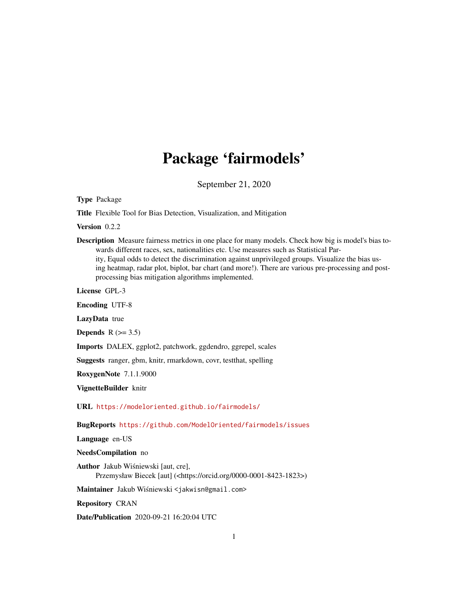## Package 'fairmodels'

September 21, 2020

<span id="page-0-0"></span>Type Package

Title Flexible Tool for Bias Detection, Visualization, and Mitigation

Version 0.2.2

Description Measure fairness metrics in one place for many models. Check how big is model's bias towards different races, sex, nationalities etc. Use measures such as Statistical Parity, Equal odds to detect the discrimination against unprivileged groups. Visualize the bias using heatmap, radar plot, biplot, bar chart (and more!). There are various pre-processing and postprocessing bias mitigation algorithms implemented.

License GPL-3

Encoding UTF-8

LazyData true

Depends  $R$  ( $>= 3.5$ )

Imports DALEX, ggplot2, patchwork, ggdendro, ggrepel, scales

Suggests ranger, gbm, knitr, rmarkdown, covr, testthat, spelling

RoxygenNote 7.1.1.9000

VignetteBuilder knitr

URL <https://modeloriented.github.io/fairmodels/>

BugReports <https://github.com/ModelOriented/fairmodels/issues>

Language en-US

## NeedsCompilation no

Author Jakub Wisniewski [aut, cre], ´ Przemysław Biecek [aut] (<https://orcid.org/0000-0001-8423-1823>)

Maintainer Jakub Wiśniewski <jakwisn@gmail.com>

Repository CRAN

Date/Publication 2020-09-21 16:20:04 UTC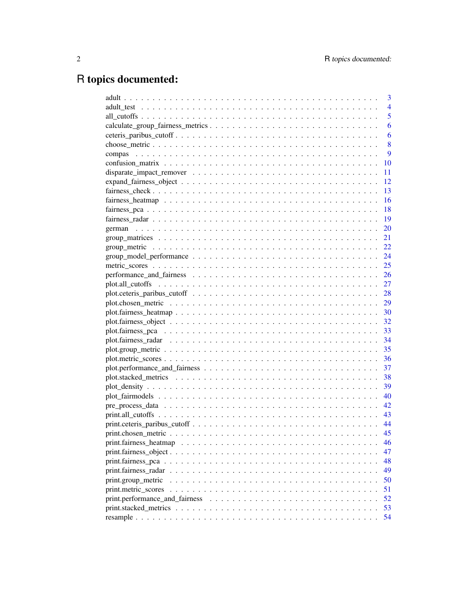# R topics documented:

|                    | 3              |
|--------------------|----------------|
|                    | $\overline{4}$ |
|                    | 5              |
|                    | 6              |
|                    | 6              |
|                    | 8              |
|                    | 9              |
|                    | 10             |
|                    | 11             |
|                    | 12             |
|                    | 13             |
|                    | 16             |
|                    | 18             |
|                    | 19             |
|                    | 20             |
|                    | 21             |
|                    | 22             |
|                    |                |
|                    | 25             |
|                    |                |
|                    |                |
|                    |                |
|                    | 29             |
|                    |                |
|                    |                |
|                    |                |
|                    |                |
|                    |                |
|                    |                |
|                    | 37             |
|                    |                |
|                    |                |
|                    |                |
|                    |                |
|                    |                |
|                    |                |
|                    |                |
|                    | 46             |
|                    | 47             |
|                    | 48             |
|                    |                |
|                    | 49             |
| print.group_metric | 50             |
|                    | 51             |
|                    | 52             |
|                    | 53             |
|                    | 54             |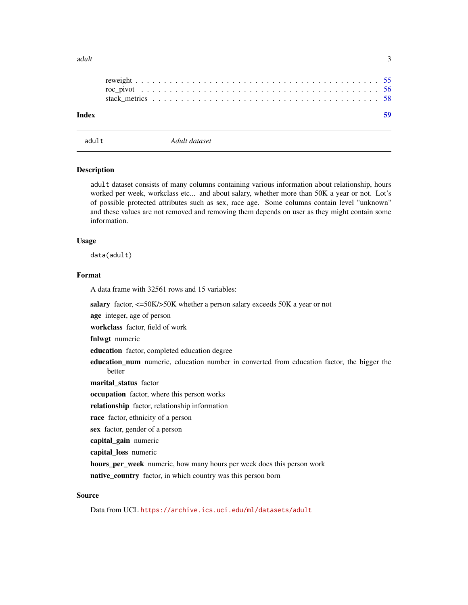#### <span id="page-2-0"></span> $\alpha$  adult  $\beta$

| Index |  |  |  |  |  |  |  |  |  |  |  |  |  |  |  |  |  |  |
|-------|--|--|--|--|--|--|--|--|--|--|--|--|--|--|--|--|--|--|

adult *Adult dataset*

#### Description

adult dataset consists of many columns containing various information about relationship, hours worked per week, workclass etc... and about salary, whether more than 50K a year or not. Lot's of possible protected attributes such as sex, race age. Some columns contain level "unknown" and these values are not removed and removing them depends on user as they might contain some information.

## Usage

data(adult)

#### Format

A data frame with 32561 rows and 15 variables:

salary factor, <=50K/>50K whether a person salary exceeds 50K a year or not

age integer, age of person

workclass factor, field of work

fnlwgt numeric

education factor, completed education degree

education\_num numeric, education number in converted from education factor, the bigger the better

marital\_status factor

occupation factor, where this person works

relationship factor, relationship information

race factor, ethnicity of a person

sex factor, gender of a person

capital\_gain numeric

capital\_loss numeric

hours\_per\_week numeric, how many hours per week does this person work

native\_country factor, in which country was this person born

## Source

Data from UCL <https://archive.ics.uci.edu/ml/datasets/adult>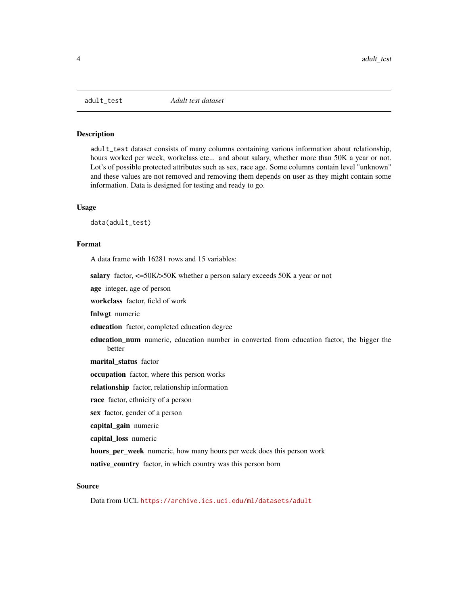<span id="page-3-0"></span>

## Description

adult\_test dataset consists of many columns containing various information about relationship, hours worked per week, workclass etc... and about salary, whether more than 50K a year or not. Lot's of possible protected attributes such as sex, race age. Some columns contain level "unknown" and these values are not removed and removing them depends on user as they might contain some information. Data is designed for testing and ready to go.

#### Usage

data(adult\_test)

## Format

A data frame with 16281 rows and 15 variables:

salary factor,  $\langle 50K/50K \rangle$  whether a person salary exceeds 50K a year or not

age integer, age of person

workclass factor, field of work

fnlwgt numeric

education factor, completed education degree

education\_num numeric, education number in converted from education factor, the bigger the better

marital status factor

occupation factor, where this person works

relationship factor, relationship information

race factor, ethnicity of a person

sex factor, gender of a person

capital\_gain numeric

capital\_loss numeric

hours\_per\_week numeric, how many hours per week does this person work

native\_country factor, in which country was this person born

#### Source

Data from UCL <https://archive.ics.uci.edu/ml/datasets/adult>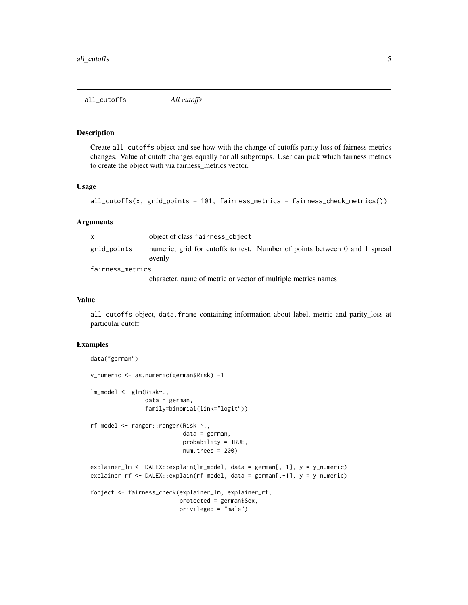<span id="page-4-0"></span>all\_cutoffs *All cutoffs*

#### Description

Create all\_cutoffs object and see how with the change of cutoffs parity loss of fairness metrics changes. Value of cutoff changes equally for all subgroups. User can pick which fairness metrics to create the object with via fairness\_metrics vector.

## Usage

```
all_cutoffs(x, grid_points = 101, fairness_metrics = fairness_check_metrics())
```
## Arguments

|                  | object of class fairness_object                                                      |  |  |  |  |  |
|------------------|--------------------------------------------------------------------------------------|--|--|--|--|--|
| grid_points      | numeric, grid for cutoffs to test. Number of points between 0 and 1 spread<br>evenly |  |  |  |  |  |
| fairness_metrics |                                                                                      |  |  |  |  |  |
|                  | character, name of metric or vector of multiple metrics names                        |  |  |  |  |  |

#### Value

all\_cutoffs object, data.frame containing information about label, metric and parity\_loss at particular cutoff

```
data("german")
y_numeric <- as.numeric(german$Risk) -1
lm_model <- glm(Risk~.,
                data = german,
                family=binomial(link="logit"))
rf_model <- ranger::ranger(Risk ~.,
                           data = german,
                           probability = TRUE,
                           num.trees = 200)
explainer_lm <- DALEX::explain(lm_model, data = german[,-1], y = y_numeric)
explainer_rf <- DALEX::explain(rf_model, data = german[,-1], y = y_numeric)
fobject <- fairness_check(explainer_lm, explainer_rf,
                          protected = german$Sex,
                          privileged = "male")
```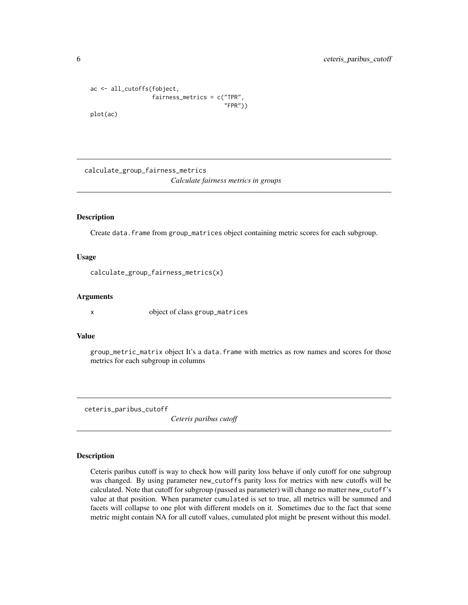```
ac <- all_cutoffs(fobject,
                  fairness_metrics = c("TPR",
                                        "FPR"))
plot(ac)
```
calculate\_group\_fairness\_metrics *Calculate fairness metrics in groups*

#### Description

Create data.frame from group\_matrices object containing metric scores for each subgroup.

#### Usage

```
calculate_group_fairness_metrics(x)
```
## Arguments

x object of class group\_matrices

## Value

group\_metric\_matrix object It's a data.frame with metrics as row names and scores for those metrics for each subgroup in columns

ceteris\_paribus\_cutoff

*Ceteris paribus cutoff*

#### Description

Ceteris paribus cutoff is way to check how will parity loss behave if only cutoff for one subgroup was changed. By using parameter new\_cutoffs parity loss for metrics with new cutoffs will be calculated. Note that cutoff for subgroup (passed as parameter) will change no matter new\_cutoff's value at that position. When parameter cumulated is set to true, all metrics will be summed and facets will collapse to one plot with different models on it. Sometimes due to the fact that some metric might contain NA for all cutoff values, cumulated plot might be present without this model.

<span id="page-5-0"></span>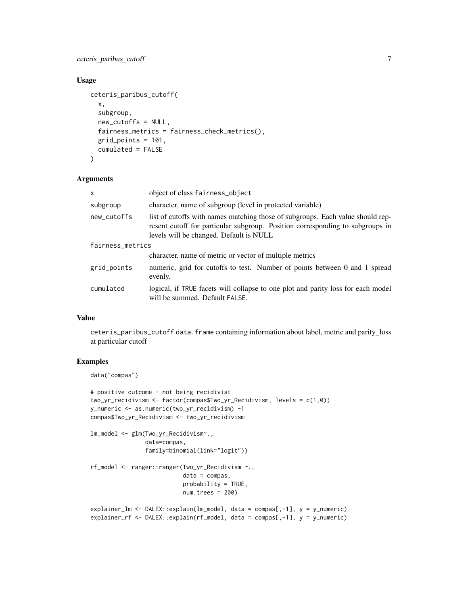ceteris\_paribus\_cutoff 7

## Usage

```
ceteris_paribus_cutoff(
  x,
  subgroup,
  new_cutoffs = NULL,
  fairness_metrics = fairness_check_metrics(),
  grid_points = 101,
  cumulated = FALSE
\lambda
```
#### Arguments

| $\mathsf{x}$     | object of class fairness_object                                                                                                                                                                            |  |  |  |
|------------------|------------------------------------------------------------------------------------------------------------------------------------------------------------------------------------------------------------|--|--|--|
| subgroup         | character, name of subgroup (level in protected variable)                                                                                                                                                  |  |  |  |
| new_cutoffs      | list of cutoffs with names matching those of subgroups. Each value should rep-<br>resent cutoff for particular subgroup. Position corresponding to subgroups in<br>levels will be changed. Default is NULL |  |  |  |
| fairness_metrics |                                                                                                                                                                                                            |  |  |  |
|                  | character, name of metric or vector of multiple metrics                                                                                                                                                    |  |  |  |
| grid_points      | numeric, grid for cutoffs to test. Number of points between 0 and 1 spread<br>evenly.                                                                                                                      |  |  |  |
| cumulated        | logical, if TRUE facets will collapse to one plot and parity loss for each model<br>will be summed. Default FALSE.                                                                                         |  |  |  |

#### Value

ceteris\_paribus\_cutoff data.frame containing information about label, metric and parity\_loss at particular cutoff

```
data("compas")
```

```
# positive outcome - not being recidivist
two_yr_recidivism <- factor(compas$Two_yr_Recidivism, levels = c(1,0))
y_numeric <- as.numeric(two_yr_recidivism) -1
compas$Two_yr_Recidivism <- two_yr_recidivism
```

```
lm_model <- glm(Two_yr_Recidivism~.,
               data=compas,
                family=binomial(link="logit"))
rf_model <- ranger::ranger(Two_yr_Recidivism ~.,
                           data = compas,probability = TRUE,
                           num.trees = 200)
explainer_lm <- DALEX::explain(lm_model, data = compas[,-1], y = y_numeric)
```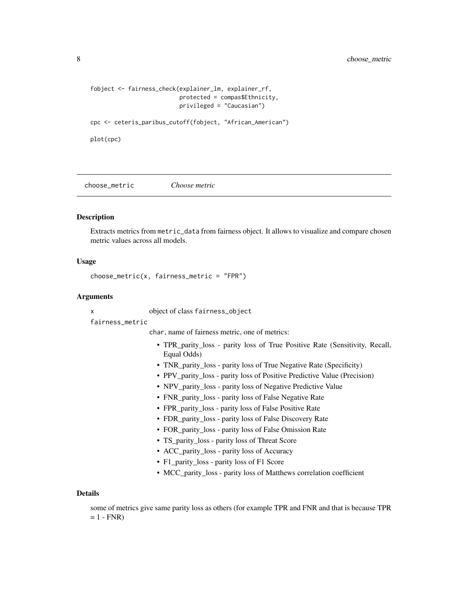## <span id="page-7-0"></span>8 choose\_metric contract to the choose of the choose of the choose of the choose  $\sim$  choose  $\sim$  choose  $\sim$  choose.

```
fobject <- fairness_check(explainer_lm, explainer_rf,
                          protected = compas$Ethnicity,
                          privileged = "Caucasian")
```
cpc <- ceteris\_paribus\_cutoff(fobject, "African\_American")

plot(cpc)

choose\_metric *Choose metric*

#### **Description**

Extracts metrics from metric\_data from fairness object. It allows to visualize and compare chosen metric values across all models.

#### Usage

```
choose_metric(x, fairness_metric = "FPR")
```
#### Arguments

x object of class fairness\_object

fairness\_metric

char, name of fairness metric, one of metrics:

- TPR\_parity\_loss parity loss of True Positive Rate (Sensitivity, Recall, Equal Odds)
- TNR\_parity\_loss parity loss of True Negative Rate (Specificity)
- PPV\_parity\_loss parity loss of Positive Predictive Value (Precision)
- NPV\_parity\_loss parity loss of Negative Predictive Value
- FNR\_parity\_loss parity loss of False Negative Rate
- FPR\_parity\_loss parity loss of False Positive Rate
- FDR\_parity\_loss parity loss of False Discovery Rate
- FOR\_parity\_loss parity loss of False Omission Rate
- TS\_parity\_loss parity loss of Threat Score
- ACC\_parity\_loss parity loss of Accuracy
- F1\_parity\_loss parity loss of F1 Score
- MCC\_parity\_loss parity loss of Matthews correlation coefficient

#### Details

some of metrics give same parity loss as others (for example TPR and FNR and that is because TPR  $= 1 - FNR$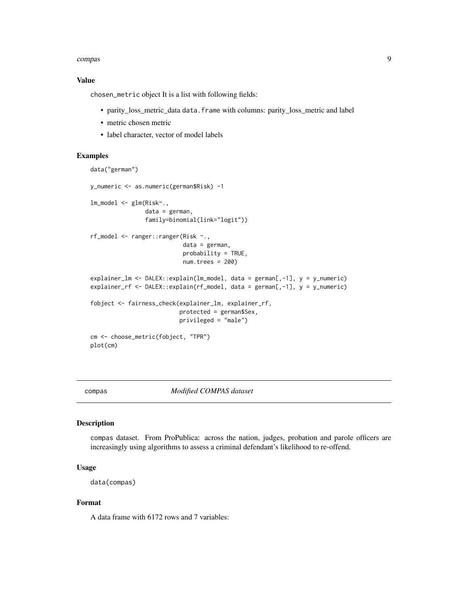#### <span id="page-8-0"></span>compas 50 and 200 and 200 and 200 and 200 and 200 and 200 and 200 and 200 and 200 and 200 and 200 and 200 and 200 and 200 and 200 and 200 and 200 and 200 and 200 and 200 and 200 and 200 and 200 and 200 and 200 and 200 and

## Value

chosen\_metric object It is a list with following fields:

- parity\_loss\_metric\_data data.frame with columns: parity\_loss\_metric and label
- metric chosen metric
- label character, vector of model labels

## Examples

```
data("german")
y_numeric <- as.numeric(german$Risk) -1
lm_model <- glm(Risk~.,
                data = german,
                family=binomial(link="logit"))
rf_model <- ranger::ranger(Risk ~.,
                           data = german,
                           probability = TRUE,
                           num.trees = 200)
explainer_lm <- DALEX::explain(lm_model, data = german[,-1], y = y_numeric)
explainer_rf <- DALEX::explain(rf_model, data = german[,-1], y = y_numeric)
fobject <- fairness_check(explainer_lm, explainer_rf,
                          protected = german$Sex,
                          privileged = "male")
cm <- choose_metric(fobject, "TPR")
plot(cm)
```
compas *Modified COMPAS dataset*

#### Description

compas dataset. From ProPublica: across the nation, judges, probation and parole officers are increasingly using algorithms to assess a criminal defendant's likelihood to re-offend.

#### Usage

data(compas)

## Format

A data frame with 6172 rows and 7 variables: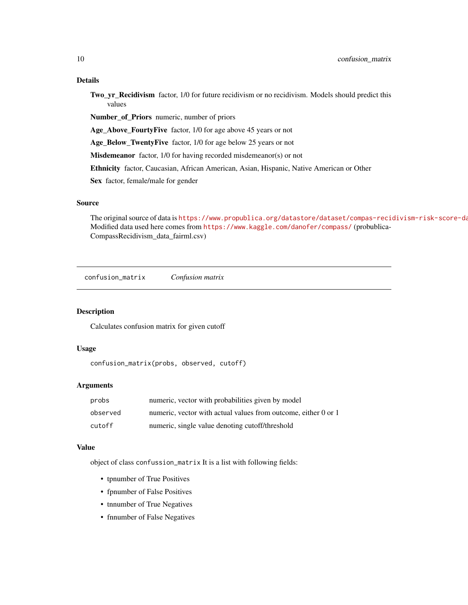## <span id="page-9-0"></span>Details

Two\_yr\_Recidivism factor, 1/0 for future recidivism or no recidivism. Models should predict this values

Number\_of\_Priors numeric, number of priors

Age\_Above\_FourtyFive factor, 1/0 for age above 45 years or not

Age\_Below\_TwentyFive factor, 1/0 for age below 25 years or not

Misdemeanor factor, 1/0 for having recorded misdemeanor(s) or not

Ethnicity factor, Caucasian, African American, Asian, Hispanic, Native American or Other

Sex factor, female/male for gender

## Source

The original source of data is https://www.propublica.org/datastore/dataset/compas-recidivism-risk-score-data-Modified data used here comes from <https://www.kaggle.com/danofer/compass/> (probublica-CompassRecidivism\_data\_fairml.csv)

confusion\_matrix *Confusion matrix*

## Description

Calculates confusion matrix for given cutoff

#### Usage

```
confusion_matrix(probs, observed, cutoff)
```
#### Arguments

| probs    | numeric, vector with probabilities given by model              |
|----------|----------------------------------------------------------------|
| observed | numeric, vector with actual values from outcome, either 0 or 1 |
| cutoff   | numeric, single value denoting cutoff/threshold                |

#### Value

object of class confussion\_matrix It is a list with following fields:

- tpnumber of True Positives
- fpnumber of False Positives
- tnnumber of True Negatives
- fnnumber of False Negatives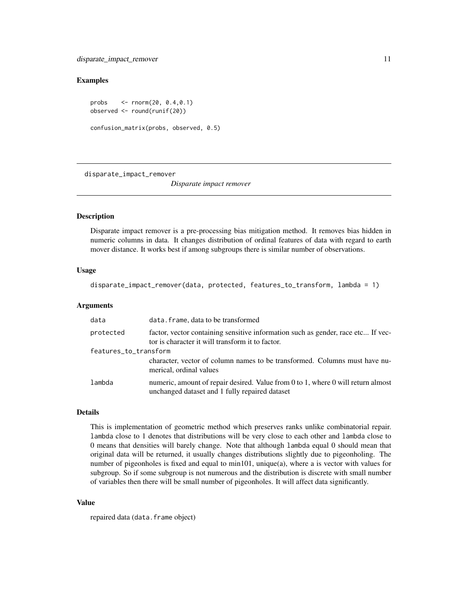## <span id="page-10-0"></span>Examples

```
probs <- rnorm(20, 0.4,0.1)
observed <- round(runif(20))
confusion_matrix(probs, observed, 0.5)
```
disparate\_impact\_remover

*Disparate impact remover*

## Description

Disparate impact remover is a pre-processing bias mitigation method. It removes bias hidden in numeric columns in data. It changes distribution of ordinal features of data with regard to earth mover distance. It works best if among subgroups there is similar number of observations.

#### Usage

disparate\_impact\_remover(data, protected, features\_to\_transform, lambda = 1)

#### Arguments

| data                  | data. frame, data to be transformed                                                                                                  |
|-----------------------|--------------------------------------------------------------------------------------------------------------------------------------|
| protected             | factor, vector containing sensitive information such as gender, race etc If vec-<br>tor is character it will transform it to factor. |
| features_to_transform |                                                                                                                                      |
|                       | character, vector of column names to be transformed. Columns must have nu-<br>merical, ordinal values                                |
| lambda                | numeric, amount of repair desired. Value from 0 to 1, where 0 will return almost<br>unchanged dataset and 1 fully repaired dataset   |

## Details

This is implementation of geometric method which preserves ranks unlike combinatorial repair. lambda close to 1 denotes that distributions will be very close to each other and lambda close to 0 means that densities will barely change. Note that although lambda equal 0 should mean that original data will be returned, it usually changes distributions slightly due to pigeonholing. The number of pigeonholes is fixed and equal to min101, unique(a), where a is vector with values for subgroup. So if some subgroup is not numerous and the distribution is discrete with small number of variables then there will be small number of pigeonholes. It will affect data significantly.

#### Value

repaired data (data.frame object)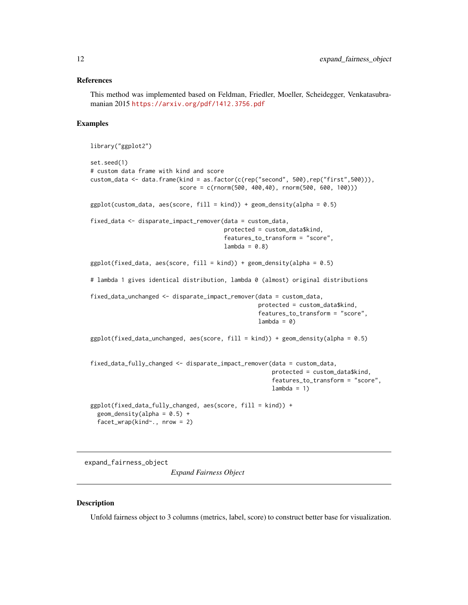#### <span id="page-11-0"></span>References

This method was implemented based on Feldman, Friedler, Moeller, Scheidegger, Venkatasubramanian 2015 <https://arxiv.org/pdf/1412.3756.pdf>

#### Examples

```
library("ggplot2")
set.seed(1)
# custom data frame with kind and score
custom_data <- data.frame(kind = as.factor(c(rep("second", 500),rep("first",500))),
                          score = c(rnorm(500, 400,40), rnorm(500, 600, 100)))
ggplot(custom_data, aes(score, fill = kind)) + geom-density(alpha = 0.5)fixed_data <- disparate_impact_remover(data = custom_data,
                                       protected = custom_data$kind,
                                       features_to_transform = "score",
                                       lambda = 0.8ggplot(fixed_data, aes(score, fill = kind)) + geom_density(alpha = 0.5)
# lambda 1 gives identical distribution, lambda 0 (almost) original distributions
fixed_data_unchanged <- disparate_impact_remover(data = custom_data,
                                                 protected = custom_data$kind,
                                                 features_to_transform = "score",
                                                 lambda = 0)ggplot(fixed_data_unchanged, aes(score, fill = kind)) + geom-density(alpha = 0.5)fixed_data_fully_changed <- disparate_impact_remover(data = custom_data,
                                                     protected = custom_data$kind,
                                                     features_to_transform = "score",
                                                     lambda = 1)
ggplot(fixed_data_fully_changed, aes(score, fill = kind)) +geom\_density(alpha = 0.5) +
  facet_wrap(kind~., nrow = 2)
```
expand\_fairness\_object

*Expand Fairness Object*

#### **Description**

Unfold fairness object to 3 columns (metrics, label, score) to construct better base for visualization.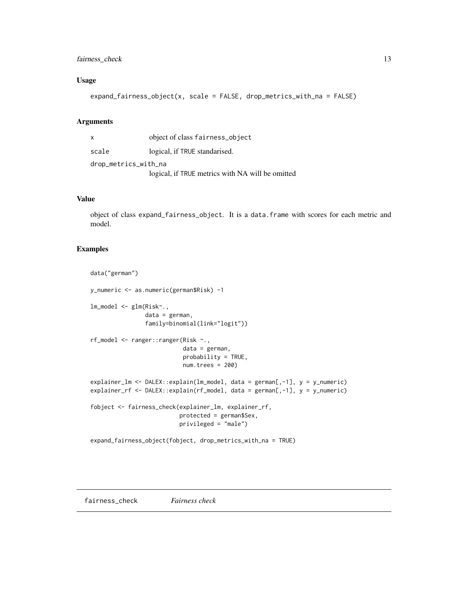## <span id="page-12-0"></span>fairness\_check 13

## Usage

```
expand_fairness_object(x, scale = FALSE, drop_metrics_with_na = FALSE)
```
## Arguments

| X                    | object of class fairness_object                  |  |  |  |  |
|----------------------|--------------------------------------------------|--|--|--|--|
| scale                | logical, if TRUE standarised.                    |  |  |  |  |
| drop_metrics_with_na |                                                  |  |  |  |  |
|                      | logical, if TRUE metrics with NA will be omitted |  |  |  |  |

## Value

object of class expand\_fairness\_object. It is a data.frame with scores for each metric and model.

```
data("german")
y_numeric <- as.numeric(german$Risk) -1
lm_model <- glm(Risk~.,
                data = german,
                family=binomial(link="logit"))
rf_model <- ranger::ranger(Risk ~.,
                           data = german,
                           probability = TRUE,
                           num.trees = 200)
explainer_lm <- DALEX::explain(lm_model, data = german[,-1], y = y_numeric)
explainer_rf <- DALEX::explain(rf_model, data = german[,-1], y = y_numeric)
fobject <- fairness_check(explainer_lm, explainer_rf,
                          protected = german$Sex,
                          privileged = "male")
expand_fairness_object(fobject, drop_metrics_with_na = TRUE)
```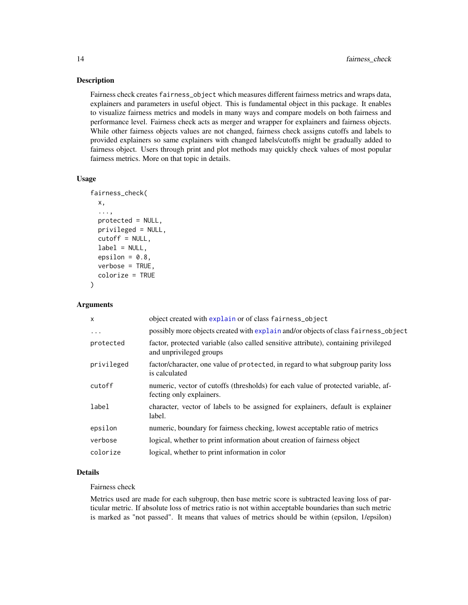#### Description

Fairness check creates fairness\_object which measures different fairness metrics and wraps data, explainers and parameters in useful object. This is fundamental object in this package. It enables to visualize fairness metrics and models in many ways and compare models on both fairness and performance level. Fairness check acts as merger and wrapper for explainers and fairness objects. While other fairness objects values are not changed, fairness check assigns cutoffs and labels to provided explainers so same explainers with changed labels/cutoffs might be gradually added to fairness object. Users through print and plot methods may quickly check values of most popular fairness metrics. More on that topic in details.

## Usage

```
fairness_check(
 x,
  ...,
 protected = NULL,
 privileged = NULL,
  cutoff = NULL,
  label = NULL,epsilon = 0.8,
  verbose = TRUE,
  colorize = TRUE
)
```
#### Arguments

| object created with explain or of class fairness_object                                                        |
|----------------------------------------------------------------------------------------------------------------|
| possibly more objects created with explain and/or objects of class fairness_object                             |
| factor, protected variable (also called sensitive attribute), containing privileged<br>and unprivileged groups |
| factor/character, one value of protected, in regard to what subgroup parity loss<br>is calculated              |
| numeric, vector of cutoffs (thresholds) for each value of protected variable, af-<br>fecting only explainers.  |
| character, vector of labels to be assigned for explainers, default is explainer<br>label.                      |
| numeric, boundary for fairness checking, lowest acceptable ratio of metrics                                    |
| logical, whether to print information about creation of fairness object                                        |
| logical, whether to print information in color                                                                 |
|                                                                                                                |

## Details

## Fairness check

Metrics used are made for each subgroup, then base metric score is subtracted leaving loss of particular metric. If absolute loss of metrics ratio is not within acceptable boundaries than such metric is marked as "not passed". It means that values of metrics should be within (epsilon, 1/epsilon)

<span id="page-13-0"></span>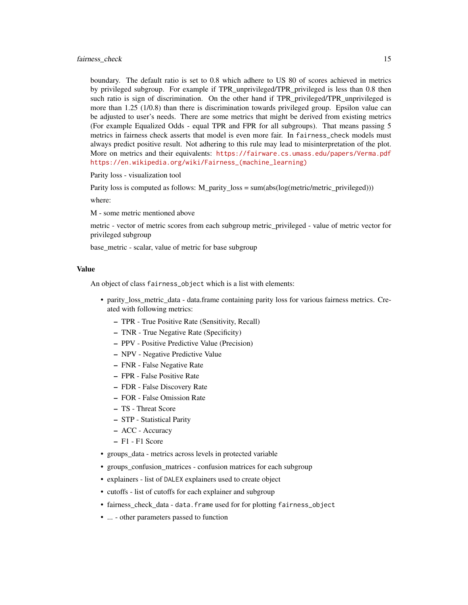boundary. The default ratio is set to 0.8 which adhere to US 80 of scores achieved in metrics by privileged subgroup. For example if TPR\_unprivileged/TPR\_privileged is less than 0.8 then such ratio is sign of discrimination. On the other hand if TPR privileged/TPR unprivileged is more than 1.25 (1/0.8) than there is discrimination towards privileged group. Epsilon value can be adjusted to user's needs. There are some metrics that might be derived from existing metrics (For example Equalized Odds - equal TPR and FPR for all subgroups). That means passing 5 metrics in fairness check asserts that model is even more fair. In fairness\_check models must always predict positive result. Not adhering to this rule may lead to misinterpretation of the plot. More on metrics and their equivalents: <https://fairware.cs.umass.edu/papers/Verma.pdf> [https://en.wikipedia.org/wiki/Fairness\\_\(machine\\_learning\)](https://en.wikipedia.org/wiki/Fairness_(machine_learning))

Parity loss - visualization tool

Parity loss is computed as follows: M\_parity\_loss = sum(abs(log(metric/metric\_privileged)))

where:

M - some metric mentioned above

metric - vector of metric scores from each subgroup metric\_privileged - value of metric vector for privileged subgroup

base\_metric - scalar, value of metric for base subgroup

#### Value

An object of class fairness\_object which is a list with elements:

- parity\_loss\_metric\_data data.frame containing parity loss for various fairness metrics. Created with following metrics:
	- TPR True Positive Rate (Sensitivity, Recall)
	- TNR True Negative Rate (Specificity)
	- PPV Positive Predictive Value (Precision)
	- NPV Negative Predictive Value
	- FNR False Negative Rate
	- FPR False Positive Rate
	- FDR False Discovery Rate
	- FOR False Omission Rate
	- TS Threat Score
	- STP Statistical Parity
	- ACC Accuracy
	- F1 F1 Score
- groups\_data metrics across levels in protected variable
- groups\_confusion\_matrices confusion matrices for each subgroup
- explainers list of DALEX explainers used to create object
- cutoffs list of cutoffs for each explainer and subgroup
- fairness\_check\_data data.frame used for for plotting fairness\_object
- ... other parameters passed to function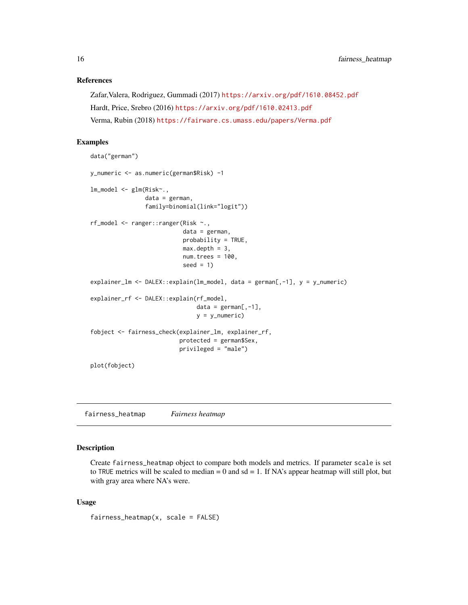#### References

```
Zafar,Valera, Rodriguez, Gummadi (2017) https://arxiv.org/pdf/1610.08452.pdf
Hardt, Price, Srebro (2016) https://arxiv.org/pdf/1610.02413.pdf
Verma, Rubin (2018) https://fairware.cs.umass.edu/papers/Verma.pdf
```
## Examples

```
data("german")
y_numeric <- as.numeric(german$Risk) -1
lm_model <- glm(Risk~.,
                data = german,
                family=binomial(link="logit"))
rf_model <- ranger::ranger(Risk ~.,
                           data = german,
                           probability = TRUE,
                           max.depth = 3,
                           num.trees = 100,
                           seed = 1explainer_lm <- DALEX::explain(lm_model, data = german[,-1], y = y_numeric)
explainer_rf <- DALEX::explain(rf_model,
                               data = german[, -1],y = y_numeric)
fobject <- fairness_check(explainer_lm, explainer_rf,
                          protected = german$Sex,
                          privileged = "male")
plot(fobject)
```
fairness\_heatmap *Fairness heatmap*

## Description

Create fairness\_heatmap object to compare both models and metrics. If parameter scale is set to TRUE metrics will be scaled to median  $= 0$  and sd  $= 1$ . If NA's appear heatmap will still plot, but with gray area where NA's were.

#### Usage

 $fairness\_heatmap(x, scale = FALSE)$ 

<span id="page-15-0"></span>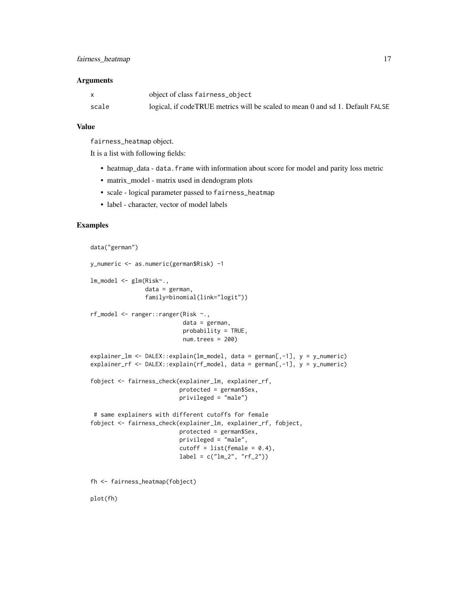|       | object of class fairness_object                                               |
|-------|-------------------------------------------------------------------------------|
| scale | logical, if codeTRUE metrics will be scaled to mean 0 and sd 1. Default FALSE |

## Value

fairness\_heatmap object.

It is a list with following fields:

- heatmap\_data data. frame with information about score for model and parity loss metric
- matrix\_model matrix used in dendogram plots
- scale logical parameter passed to fairness\_heatmap
- label character, vector of model labels

```
data("german")
y_numeric <- as.numeric(german$Risk) -1
lm_model <- glm(Risk~.,
                data = german,
                family=binomial(link="logit"))
rf_model <- ranger::ranger(Risk ~.,
                           data = german,
                           probability = TRUE,
                           num.trees = 200)
explainer_lm <- DALEX::explain(lm_model, data = german[,-1], y = y_numeric)
explainer_rf <- DALEX::explain(rf_model, data = german[,-1], y = y_numeric)
fobject <- fairness_check(explainer_lm, explainer_rf,
                          protected = german$Sex,
                          privileged = "male")
 # same explainers with different cutoffs for female
fobject <- fairness_check(explainer_lm, explainer_rf, fobject,
                          protected = german$Sex,
                          privileged = "male",
                          cutoff = list(female = 0.4),label = c("lm_2", "rf_2")fh <- fairness_heatmap(fobject)
plot(fh)
```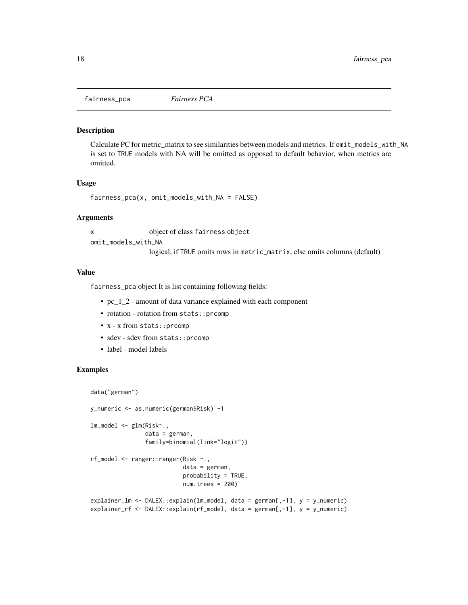<span id="page-17-0"></span>fairness\_pca *Fairness PCA*

#### Description

Calculate PC for metric matrix to see similarities between models and metrics. If omit\_models\_with\_NA is set to TRUE models with NA will be omitted as opposed to default behavior, when metrics are omitted.

#### Usage

```
fairness_pca(x, omit_models_with_NA = FALSE)
```
#### Arguments

x object of class fairness object omit\_models\_with\_NA logical, if TRUE omits rows in metric\_matrix, else omits columns (default)

#### Value

fairness\_pca object It is list containing following fields:

- pc\_1\_2 amount of data variance explained with each component
- rotation rotation from stats:: prcomp
- x x from stats::prcomp
- sdev sdev from stats:: prcomp
- label model labels

```
data("german")
```

```
y_numeric <- as.numeric(german$Risk) -1
lm_model <- glm(Risk~.,
                data = german,
                family=binomial(link="logit"))
rf_model <- ranger::ranger(Risk ~.,
                           data = german,
                           probability = TRUE,
                           num.trees = 200)
explainer_lm <- DALEX::explain(lm_model, data = german[,-1], y = y_numeric)
explainer_rf <- DALEX::explain(rf_model, data = german[,-1], y = y_numeric)
```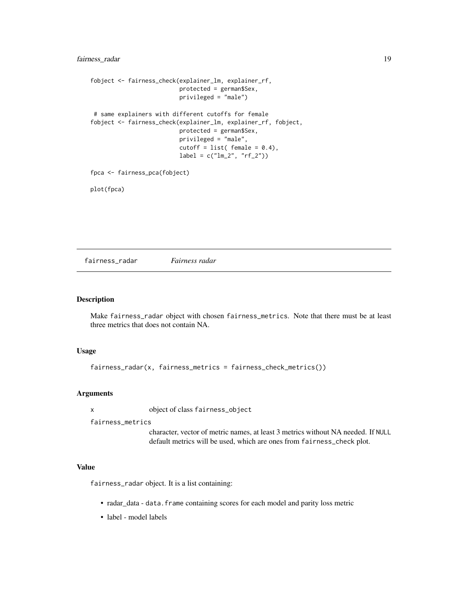```
fobject <- fairness_check(explainer_lm, explainer_rf,
                         protected = german$Sex,
                         privileged = "male")
# same explainers with different cutoffs for female
fobject <- fairness_check(explainer_lm, explainer_rf, fobject,
                         protected = german$Sex,
                         privileged = "male",
                         cutoff = list(female = 0.4),label = c("lm_2", "rf_2")fpca <- fairness_pca(fobject)
```
plot(fpca)

fairness\_radar *Fairness radar*

## Description

Make fairness\_radar object with chosen fairness\_metrics. Note that there must be at least three metrics that does not contain NA.

#### Usage

```
fairness_radar(x, fairness_metrics = fairness_check_metrics())
```
#### Arguments

x object of class fairness\_object

fairness\_metrics

character, vector of metric names, at least 3 metrics without NA needed. If NULL default metrics will be used, which are ones from fairness\_check plot.

## Value

fairness\_radar object. It is a list containing:

- radar\_data data.frame containing scores for each model and parity loss metric
- label model labels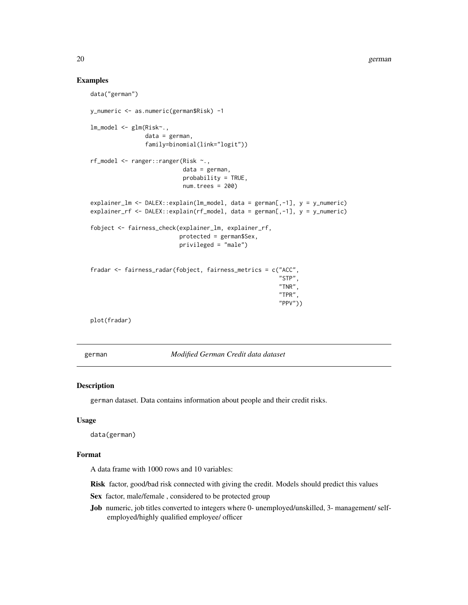#### Examples

```
data("german")
y_numeric <- as.numeric(german$Risk) -1
lm_model <- glm(Risk~.,
                data = german,
                family=binomial(link="logit"))
rf_model <- ranger::ranger(Risk ~.,
                           data = german,
                           probability = TRUE,
                           num.trees = 200)
explainer_lm <- DALEX::explain(lm_model, data = german[,-1], y = y_numeric)
explainer_rf <- DALEX::explain(rf_model, data = german[,-1], y = y_numeric)
fobject <- fairness_check(explainer_lm, explainer_rf,
                          protected = german$Sex,
                          privileged = "male")
fradar <- fairness_radar(fobject, fairness_metrics = c("ACC",
                                                        "STP",
                                                        "TNR",
                                                        "TPR",
                                                        "PPV"))
plot(fradar)
```
german *Modified German Credit data dataset*

#### Description

german dataset. Data contains information about people and their credit risks.

#### Usage

data(german)

## Format

A data frame with 1000 rows and 10 variables:

Risk factor, good/bad risk connected with giving the credit. Models should predict this values

- Sex factor, male/female, considered to be protected group
- Job numeric, job titles converted to integers where 0- unemployed/unskilled, 3- management/ selfemployed/highly qualified employee/ officer

<span id="page-19-0"></span>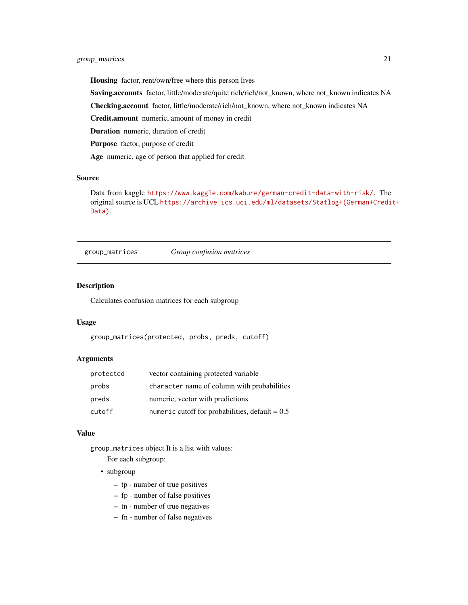## <span id="page-20-0"></span>group\_matrices 21

Housing factor, rent/own/free where this person lives

Saving.accounts factor, little/moderate/quite rich/rich/not\_known, where not\_known indicates NA

Checking.account factor, little/moderate/rich/not\_known, where not\_known indicates NA

Credit.amount numeric, amount of money in credit

Duration numeric, duration of credit

Purpose factor, purpose of credit

Age numeric, age of person that applied for credit

## Source

Data from kaggle <https://www.kaggle.com/kabure/german-credit-data-with-risk/>. The original source is UCL [https://archive.ics.uci.edu/ml/datasets/Statlog+\(German+Credi](https://archive.ics.uci.edu/ml/datasets/Statlog+(German+Credit+Data))t+ [Data\)](https://archive.ics.uci.edu/ml/datasets/Statlog+(German+Credit+Data)).

group\_matrices *Group confusion matrices*

## Description

Calculates confusion matrices for each subgroup

#### Usage

```
group_matrices(protected, probs, preds, cutoff)
```
#### Arguments

| protected | vector containing protected variable              |
|-----------|---------------------------------------------------|
| probs     | character name of column with probabilities       |
| preds     | numeric, vector with predictions                  |
| cutoff    | numeric cutoff for probabilities, default = $0.5$ |

#### Value

group\_matrices object It is a list with values: For each subgroup:

#### • subgroup

- tp number of true positives
- fp number of false positives
- tn number of true negatives
- fn number of false negatives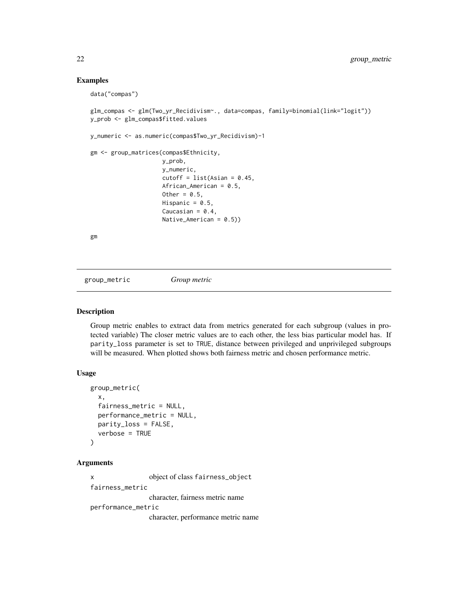## Examples

data("compas")

```
glm_compas <- glm(Two_yr_Recidivism~., data=compas, family=binomial(link="logit"))
y_prob <- glm_compas$fitted.values
```

```
y_numeric <- as.numeric(compas$Two_yr_Recidivism)-1
```

```
gm <- group_matrices(compas$Ethnicity,
```

```
y_prob,
y_numeric,
cutoff = list(Asian = 0.45,African_American = 0.5,
Other = 0.5,
Hispanic = 0.5,
Caucasian = 0.4,
Native_American = 0.5))
```
gm

group\_metric *Group metric*

## Description

Group metric enables to extract data from metrics generated for each subgroup (values in protected variable) The closer metric values are to each other, the less bias particular model has. If parity\_loss parameter is set to TRUE, distance between privileged and unprivileged subgroups will be measured. When plotted shows both fairness metric and chosen performance metric.

## Usage

```
group_metric(
  x,
  fairness_metric = NULL,
 performance_metric = NULL,
 parity_loss = FALSE,
  verbose = TRUE
)
```
## Arguments

x object of class fairness\_object fairness\_metric character, fairness metric name performance\_metric character, performance metric name

<span id="page-21-0"></span>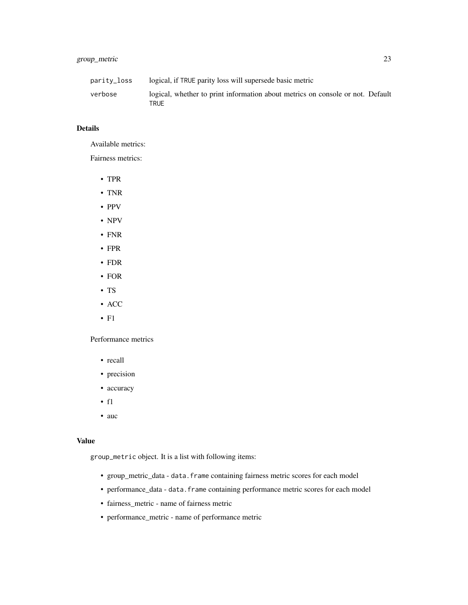| parity_loss | logical, if TRUE parity loss will supersede basic metric                               |
|-------------|----------------------------------------------------------------------------------------|
| verbose     | logical, whether to print information about metrics on console or not. Default<br>TRUE |

## Details

Available metrics:

Fairness metrics:

- TPR
- TNR
- PPV
- NPV
- FNR
- FPR
- FDR
- FOR
- TS
- ACC
- F1

Performance metrics

- recall
- precision
- accuracy
- f1
- auc

## Value

group\_metric object. It is a list with following items:

- group\_metric\_data data.frame containing fairness metric scores for each model
- performance\_data data.frame containing performance metric scores for each model
- fairness\_metric name of fairness metric
- performance\_metric name of performance metric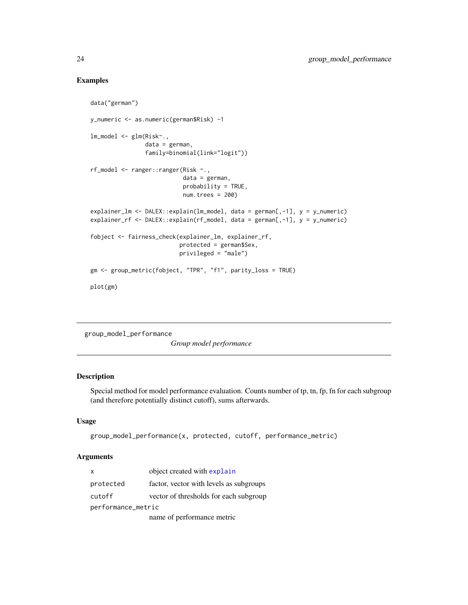## Examples

```
data("german")
y_numeric <- as.numeric(german$Risk) -1
lm_model <- glm(Risk~.,
                data = german,
                family=binomial(link="logit"))
rf_model <- ranger::ranger(Risk ~.,
                           data = german,
                           probability = TRUE,
                           num.trees = 200)
explainer_lm <- DALEX::explain(lm_model, data = german[,-1], y = y_numeric)
explainer_rf <- DALEX::explain(rf_model, data = german[,-1], y = y_numeric)
fobject <- fairness_check(explainer_lm, explainer_rf,
                          protected = german$Sex,
                          privileged = "male")
gm <- group_metric(fobject, "TPR", "f1", parity_loss = TRUE)
plot(gm)
```
group\_model\_performance

*Group model performance*

## Description

Special method for model performance evaluation. Counts number of tp, tn, fp, fn for each subgroup (and therefore potentially distinct cutoff), sums afterwards.

#### Usage

```
group_model_performance(x, protected, cutoff, performance_metric)
```
#### Arguments

| $\mathsf{x}$       | object created with explain             |  |  |  |  |  |
|--------------------|-----------------------------------------|--|--|--|--|--|
| protected          | factor, vector with levels as subgroups |  |  |  |  |  |
| cutoff             | vector of thresholds for each subgroup  |  |  |  |  |  |
| performance_metric |                                         |  |  |  |  |  |
|                    | name of performance metric              |  |  |  |  |  |

<span id="page-23-0"></span>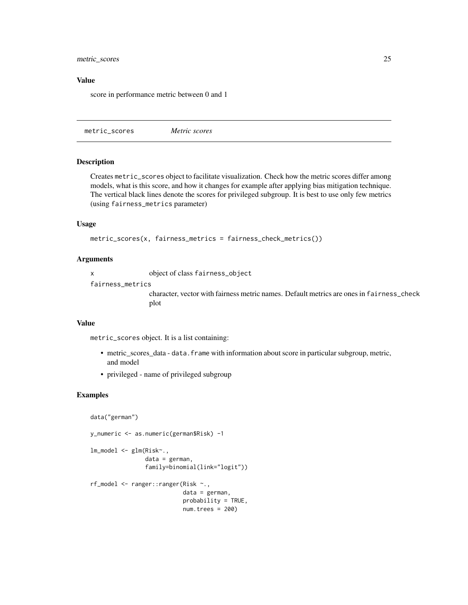## <span id="page-24-0"></span>metric\_scores 25

#### Value

score in performance metric between 0 and 1

metric\_scores *Metric scores*

#### Description

Creates metric\_scores object to facilitate visualization. Check how the metric scores differ among models, what is this score, and how it changes for example after applying bias mitigation technique. The vertical black lines denote the scores for privileged subgroup. It is best to use only few metrics (using fairness\_metrics parameter)

#### Usage

```
metric_scores(x, fairness_metrics = fairness_check_metrics())
```
#### **Arguments**

x object of class fairness\_object

fairness\_metrics

character, vector with fairness metric names. Default metrics are ones in fairness\_check plot

## Value

metric\_scores object. It is a list containing:

- metric\_scores\_data data. frame with information about score in particular subgroup, metric, and model
- privileged name of privileged subgroup

```
data("german")
y_numeric <- as.numeric(german$Risk) -1
lm_model <- glm(Risk~.,
                data = german,
                family=binomial(link="logit"))
rf_model <- ranger::ranger(Risk ~.,
                           data = german,
                           probability = TRUE,
                           num.trees = 200)
```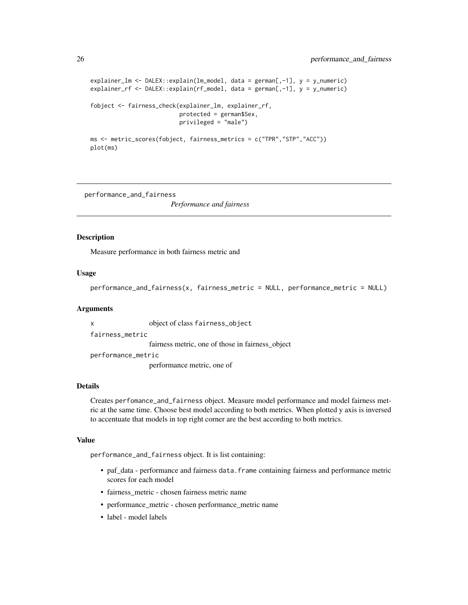```
explainer_lm <- DALEX::explain(lm_model, data = german[,-1], y = y_numeric)
explainer_rf <- DALEX::explain(rf_model, data = german[,-1], y = y_numeric)
fobject <- fairness_check(explainer_lm, explainer_rf,
                          protected = german$Sex,
                          privileged = "male")
ms <- metric_scores(fobject, fairness_metrics = c("TPR","STP","ACC"))
plot(ms)
```
performance\_and\_fairness

*Performance and fairness*

#### Description

Measure performance in both fairness metric and

#### Usage

```
performance_and_fairness(x, fairness_metric = NULL, performance_metric = NULL)
```
#### Arguments

x object of class fairness\_object fairness\_metric fairness metric, one of those in fairness\_object performance\_metric performance metric, one of

#### Details

Creates perfomance\_and\_fairness object. Measure model performance and model fairness metric at the same time. Choose best model according to both metrics. When plotted y axis is inversed to accentuate that models in top right corner are the best according to both metrics.

## Value

performance\_and\_fairness object. It is list containing:

- paf\_data performance and fairness data.frame containing fairness and performance metric scores for each model
- fairness metric chosen fairness metric name
- performance\_metric chosen performance\_metric name
- label model labels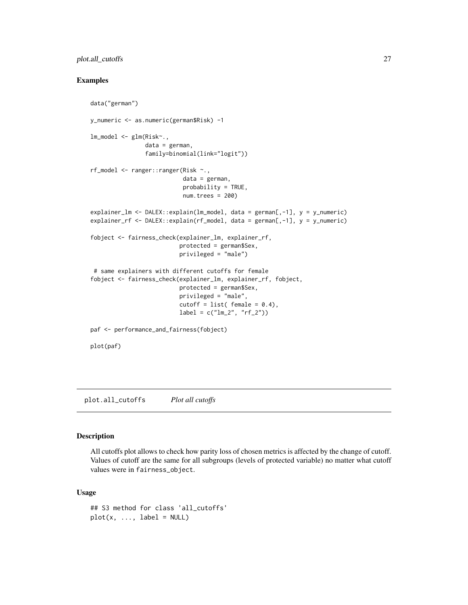## <span id="page-26-0"></span>plot.all\_cutoffs 27

## Examples

```
data("german")
y_numeric <- as.numeric(german$Risk) -1
lm_model <- glm(Risk~.,
                data = german,
                family=binomial(link="logit"))
rf_model <- ranger::ranger(Risk ~.,
                           data = german,
                           probability = TRUE,
                           num.trees = 200)
explainer_lm <- DALEX::explain(lm_model, data = german[,-1], y = y_numeric)
explainer_rf <- DALEX::explain(rf_model, data = german[,-1], y = y_numeric)
fobject <- fairness_check(explainer_lm, explainer_rf,
                          protected = german$Sex,
                          privileged = "male")
 # same explainers with different cutoffs for female
fobject <- fairness_check(explainer_lm, explainer_rf, fobject,
                          protected = german$Sex,
                          privileged = "male",
                          cutoff = list( female = 0.4),
                          label = c("lm_2", "rf_2")paf <- performance_and_fairness(fobject)
plot(paf)
```
plot.all\_cutoffs *Plot all cutoffs*

#### Description

All cutoffs plot allows to check how parity loss of chosen metrics is affected by the change of cutoff. Values of cutoff are the same for all subgroups (levels of protected variable) no matter what cutoff values were in fairness\_object.

```
## S3 method for class 'all_cutoffs'
plot(x, ..., label = NULL)
```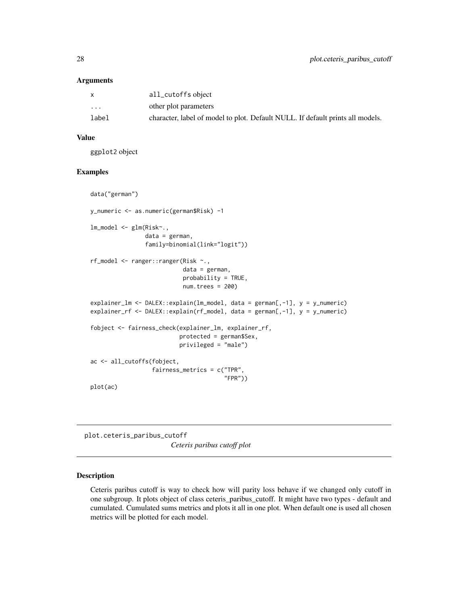<span id="page-27-0"></span>

| X     | all_cutoffs object                                                             |
|-------|--------------------------------------------------------------------------------|
| .     | other plot parameters                                                          |
| label | character, label of model to plot. Default NULL. If default prints all models. |

## Value

ggplot2 object

## Examples

```
data("german")
y_numeric <- as.numeric(german$Risk) -1
lm_model <- glm(Risk~.,
                data = german,
                family=binomial(link="logit"))
rf_model <- ranger::ranger(Risk ~.,
                           data = german,
                           probability = TRUE,
                           num.trees = 200)
explainer_lm <- DALEX::explain(lm_model, data = german[,-1], y = y_numeric)
explainer_rf <- DALEX::explain(rf_model, data = german[,-1], y = y_numeric)
fobject <- fairness_check(explainer_lm, explainer_rf,
                          protected = german$Sex,
                          privileged = "male")
ac <- all_cutoffs(fobject,
                  fairness_metrics = c("TPR",
                                       "FPR"))
plot(ac)
```
plot.ceteris\_paribus\_cutoff *Ceteris paribus cutoff plot*

#### Description

Ceteris paribus cutoff is way to check how will parity loss behave if we changed only cutoff in one subgroup. It plots object of class ceteris\_paribus\_cutoff. It might have two types - default and cumulated. Cumulated sums metrics and plots it all in one plot. When default one is used all chosen metrics will be plotted for each model.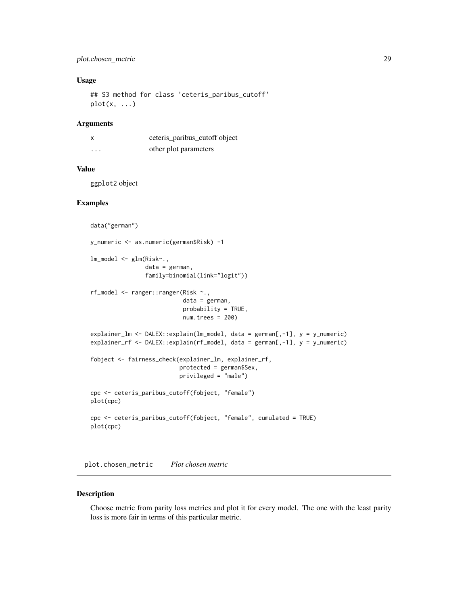## <span id="page-28-0"></span>plot.chosen\_metric 29

## Usage

## S3 method for class 'ceteris\_paribus\_cutoff'  $plot(x, \ldots)$ 

## Arguments

|                         | ceteris_paribus_cutoff object |
|-------------------------|-------------------------------|
| $\cdot$ $\cdot$ $\cdot$ | other plot parameters         |

## Value

ggplot2 object

#### Examples

```
data("german")
y_numeric <- as.numeric(german$Risk) -1
lm_model <- glm(Risk~.,
                data = german,
                family=binomial(link="logit"))
rf_model <- ranger::ranger(Risk ~.,
                           data = german,
                           probability = TRUE,
                           num.trees = 200)
explainer_lm <- DALEX::explain(lm_model, data = german[,-1], y = y_numeric)
explainer_rf <- DALEX::explain(rf_model, data = german[,-1], y = y_numeric)
fobject <- fairness_check(explainer_lm, explainer_rf,
                          protected = german$Sex,
                          privileged = "male")
cpc <- ceteris_paribus_cutoff(fobject, "female")
plot(cpc)
cpc <- ceteris_paribus_cutoff(fobject, "female", cumulated = TRUE)
plot(cpc)
```
plot.chosen\_metric *Plot chosen metric*

#### Description

Choose metric from parity loss metrics and plot it for every model. The one with the least parity loss is more fair in terms of this particular metric.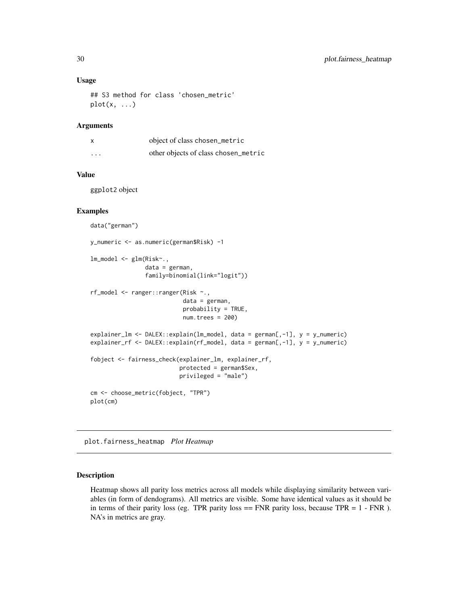#### Usage

```
## S3 method for class 'chosen_metric'
plot(x, \ldots)
```
## Arguments

|          | object of class chosen_metric        |
|----------|--------------------------------------|
| $\cdots$ | other objects of class chosen_metric |

## Value

ggplot2 object

#### Examples

```
data("german")
y_numeric <- as.numeric(german$Risk) -1
lm_model <- glm(Risk~.,
                data = german,
                family=binomial(link="logit"))
rf_model <- ranger::ranger(Risk ~.,
                           data = german,
                           probability = TRUE,
                           num.trees = 200)
explainer_lm <- DALEX::explain(lm_model, data = german[,-1], y = y_numeric)
explainer_rf <- DALEX::explain(rf_model, data = german[,-1], y = y_numeric)
fobject <- fairness_check(explainer_lm, explainer_rf,
                          protected = german$Sex,
                          privileged = "male")
cm <- choose_metric(fobject, "TPR")
plot(cm)
```
plot.fairness\_heatmap *Plot Heatmap*

## Description

Heatmap shows all parity loss metrics across all models while displaying similarity between variables (in form of dendograms). All metrics are visible. Some have identical values as it should be in terms of their parity loss (eg. TPR parity loss  $==$  FNR parity loss, because TPR  $= 1$  - FNR ). NA's in metrics are gray.

<span id="page-29-0"></span>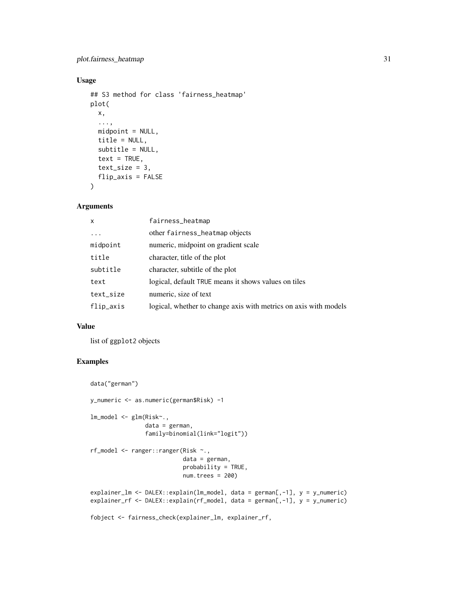## Usage

```
## S3 method for class 'fairness_heatmap'
plot(
 x,
  ...,
 mid = NULL,title = NULL,
 subtitle = NULL,
 text = TRUE,text_size = 3,flip_axis = FALSE
\lambda
```
## Arguments

| $\mathsf{x}$ | fairness_heatmap                                                 |
|--------------|------------------------------------------------------------------|
|              | other fairness_heatmap objects                                   |
| midpoint     | numeric, midpoint on gradient scale                              |
| title        | character, title of the plot                                     |
| subtitle     | character, subtitle of the plot                                  |
| text         | logical, default TRUE means it shows values on tiles             |
| text_size    | numeric, size of text                                            |
| flip_axis    | logical, whether to change axis with metrics on axis with models |

#### Value

list of ggplot2 objects

```
data("german")
y_numeric <- as.numeric(german$Risk) -1
lm_model <- glm(Risk~.,
                data = german,
                family=binomial(link="logit"))
rf_model <- ranger::ranger(Risk ~.,
                           data = german,
                           probability = TRUE,
                           num.trees = 200)
explainer_lm <- DALEX::explain(lm_model, data = german[,-1], y = y_numeric)
explainer_rf <- DALEX::explain(rf_model, data = german[,-1], y = y_numeric)
fobject <- fairness_check(explainer_lm, explainer_rf,
```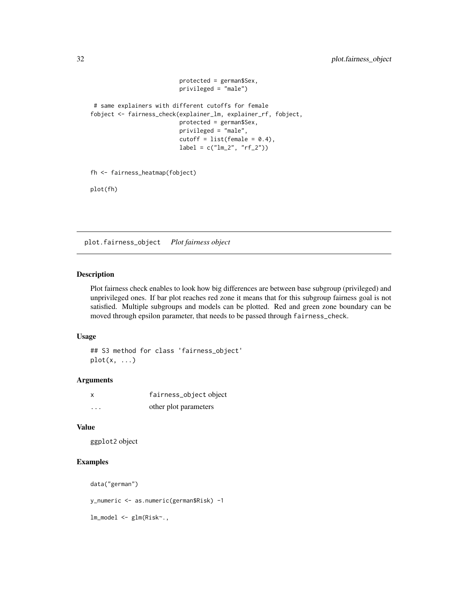```
protected = german$Sex,
                          privileged = "male")
# same explainers with different cutoffs for female
fobject <- fairness_check(explainer_lm, explainer_rf, fobject,
                         protected = german$Sex,
                         privileged = "male",
                         cutoff = list(female = 0.4),
                         label = c("lm_2", "rf_2")fh <- fairness_heatmap(fobject)
```
plot(fh)

plot.fairness\_object *Plot fairness object*

#### Description

Plot fairness check enables to look how big differences are between base subgroup (privileged) and unprivileged ones. If bar plot reaches red zone it means that for this subgroup fairness goal is not satisfied. Multiple subgroups and models can be plotted. Red and green zone boundary can be moved through epsilon parameter, that needs to be passed through fairness\_check.

#### Usage

```
## S3 method for class 'fairness_object'
plot(x, \ldots)
```
#### Arguments

| x        | fairness_object object |
|----------|------------------------|
| $\cdots$ | other plot parameters  |

#### Value

ggplot2 object

## Examples

```
data("german")
```
y\_numeric <- as.numeric(german\$Risk) -1

lm\_model <- glm(Risk~.,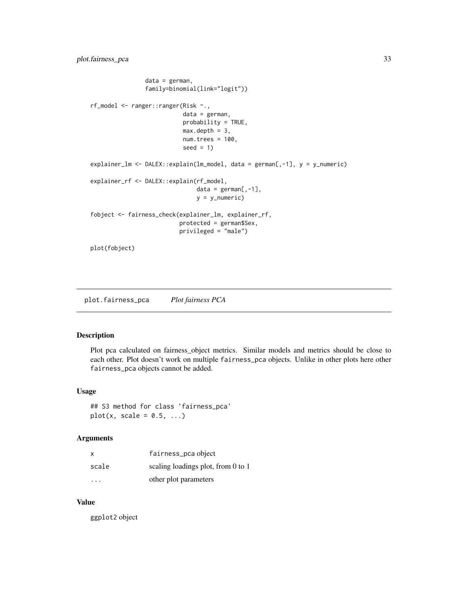```
data = german,
                family=binomial(link="logit"))
rf_model <- ranger::ranger(Risk ~.,
                           data = german,
                           probability = TRUE,
                           max.depth = 3,
                           num.trees = 100,
                           seed = 1)
explainer_lm <- DALEX::explain(lm_model, data = german[,-1], y = y_numeric)
explainer_rf <- DALEX::explain(rf_model,
                               data = german[, -1],y = y_numeric)
fobject <- fairness_check(explainer_lm, explainer_rf,
                          protected = german$Sex,
                          privileged = "male")
plot(fobject)
```
plot.fairness\_pca *Plot fairness PCA*

#### Description

Plot pca calculated on fairness\_object metrics. Similar models and metrics should be close to each other. Plot doesn't work on multiple fairness\_pca objects. Unlike in other plots here other fairness\_pca objects cannot be added.

#### Usage

## S3 method for class 'fairness\_pca'  $plot(x, scale = 0.5, ...)$ 

#### Arguments

| x                       | fairness_pca object                |
|-------------------------|------------------------------------|
| scale                   | scaling loadings plot, from 0 to 1 |
| $\cdot$ $\cdot$ $\cdot$ | other plot parameters              |

#### Value

ggplot2 object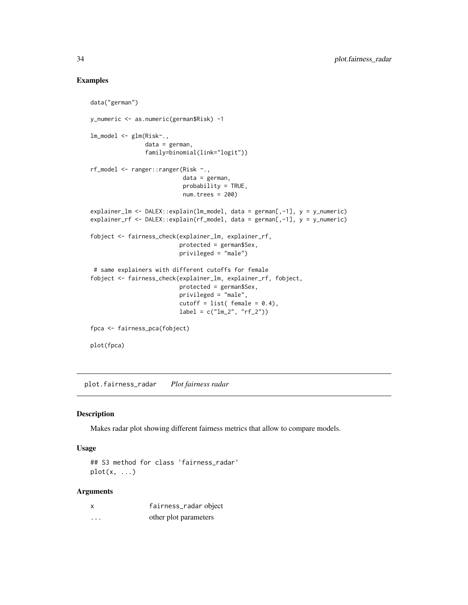## Examples

```
data("german")
y_numeric <- as.numeric(german$Risk) -1
lm_model <- glm(Risk~.,
                data = german,
                family=binomial(link="logit"))
rf_model <- ranger::ranger(Risk ~.,
                           data = german,
                           probability = TRUE,
                           num.trees = 200)
explainer_lm <- DALEX::explain(lm_model, data = german[,-1], y = y_numeric)
explainer_rf <- DALEX::explain(rf_model, data = german[,-1], y = y_numeric)
fobject <- fairness_check(explainer_lm, explainer_rf,
                          protected = german$Sex,
                          privileged = "male")
 # same explainers with different cutoffs for female
fobject <- fairness_check(explainer_lm, explainer_rf, fobject,
                          protected = german$Sex,
                          privileged = "male",
                          cutoff = list(female = 0.4),label = c("lm_2", "rf_2")fpca <- fairness_pca(fobject)
plot(fpca)
```
plot.fairness\_radar *Plot fairness radar*

#### Description

Makes radar plot showing different fairness metrics that allow to compare models.

#### Usage

```
## S3 method for class 'fairness_radar'
plot(x, \ldots)
```
## Arguments

| X | fairness_radar object |
|---|-----------------------|
| . | other plot parameters |

<span id="page-33-0"></span>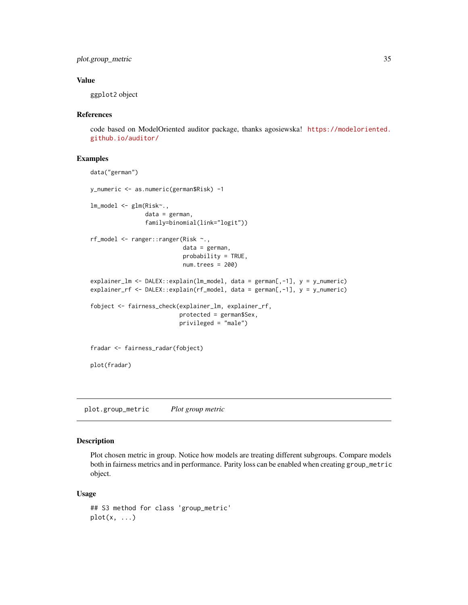<span id="page-34-0"></span>plot.group\_metric 35

## Value

ggplot2 object

#### References

code based on ModelOriented auditor package, thanks agosiewska! [https://modeloriented.](https://modeloriented.github.io/auditor/) [github.io/auditor/](https://modeloriented.github.io/auditor/)

#### Examples

```
data("german")
y_numeric <- as.numeric(german$Risk) -1
lm_model <- glm(Risk~.,
                data = german,
                family=binomial(link="logit"))
rf_model <- ranger::ranger(Risk ~.,
                           data = german,
                           probability = TRUE,
                           num.trees = 200)
explainer_lm <- DALEX::explain(lm_model, data = german[,-1], y = y_numeric)
explainer_rf <- DALEX::explain(rf_model, data = german[,-1], y = y_numeric)
fobject <- fairness_check(explainer_lm, explainer_rf,
                          protected = german$Sex,
                          privileged = "male")
fradar <- fairness_radar(fobject)
plot(fradar)
```
plot.group\_metric *Plot group metric*

## Description

Plot chosen metric in group. Notice how models are treating different subgroups. Compare models both in fairness metrics and in performance. Parity loss can be enabled when creating group\_metric object.

```
## S3 method for class 'group_metric'
plot(x, \ldots)
```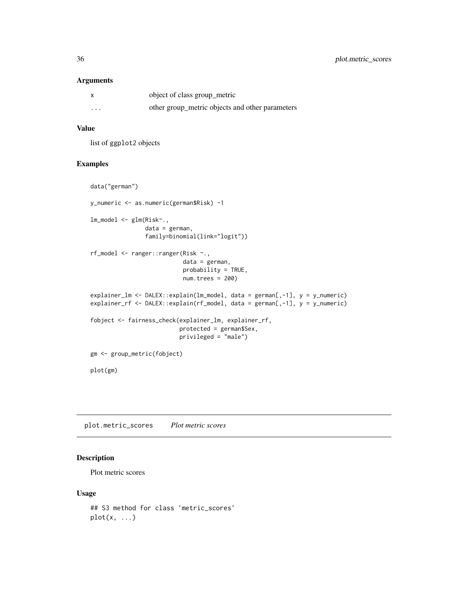<span id="page-35-0"></span>

| $\boldsymbol{\mathsf{x}}$ | object of class group_metric                    |
|---------------------------|-------------------------------------------------|
| $\cdots$                  | other group_metric objects and other parameters |

## Value

list of ggplot2 objects

## Examples

```
data("german")
y_numeric <- as.numeric(german$Risk) -1
lm_model <- glm(Risk~.,
                data = german,
                family=binomial(link="logit"))
rf_model <- ranger::ranger(Risk ~.,
                           data = german,
                           probability = TRUE,
                           num.trees = 200)
explainer_lm <- DALEX::explain(lm_model, data = german[,-1], y = y_numeric)
explainer_rf <- DALEX::explain(rf_model, data = german[,-1], y = y_numeric)
fobject <- fairness_check(explainer_lm, explainer_rf,
                          protected = german$Sex,
                          privileged = "male")
gm <- group_metric(fobject)
plot(gm)
```
plot.metric\_scores *Plot metric scores*

## Description

Plot metric scores

```
## S3 method for class 'metric_scores'
plot(x, \ldots)
```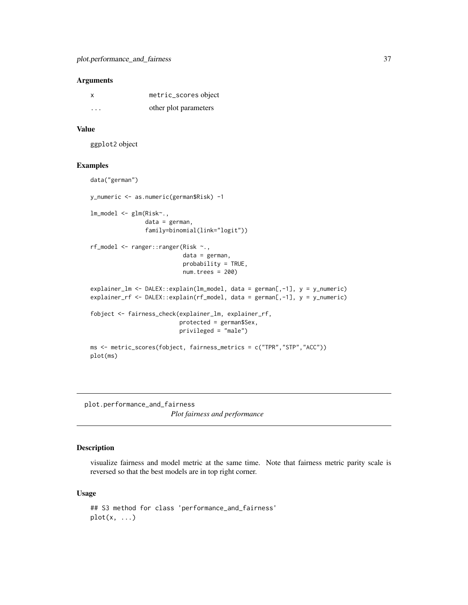<span id="page-36-0"></span>

| X       | metric_scores object  |
|---------|-----------------------|
| $\cdot$ | other plot parameters |

#### Value

ggplot2 object

#### Examples

```
data("german")
y_numeric <- as.numeric(german$Risk) -1
lm_model <- glm(Risk~.,
                data = german,
                family=binomial(link="logit"))
rf_model <- ranger::ranger(Risk ~.,
                           data = german,
                           probability = TRUE,
                           num.trees = 200)
explainer_lm <- DALEX::explain(lm_model, data = german[,-1], y = y_numeric)
explainer_rf <- DALEX::explain(rf_model, data = german[,-1], y = y_numeric)
fobject <- fairness_check(explainer_lm, explainer_rf,
                          protected = german$Sex,
                          privileged = "male")
ms <- metric_scores(fobject, fairness_metrics = c("TPR","STP","ACC"))
plot(ms)
```
plot.performance\_and\_fairness *Plot fairness and performance*

#### Description

visualize fairness and model metric at the same time. Note that fairness metric parity scale is reversed so that the best models are in top right corner.

```
## S3 method for class 'performance_and_fairness'
plot(x, \ldots)
```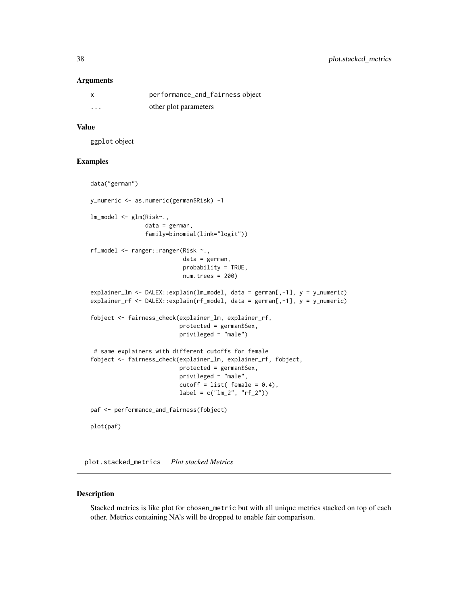<span id="page-37-0"></span>

|          | performance_and_fairness object |
|----------|---------------------------------|
| $\cdots$ | other plot parameters           |

#### Value

ggplot object

## Examples

```
data("german")
y_numeric <- as.numeric(german$Risk) -1
lm_model <- glm(Risk~.,
                data = german,
                family=binomial(link="logit"))
rf_model <- ranger::ranger(Risk ~.,
                           data = german,
                           probability = TRUE,
                           num.trees = 200)
explainer_lm <- DALEX::explain(lm_model, data = german[,-1], y = y_numeric)
explainer_rf <- DALEX::explain(rf_model, data = german[,-1], y = y_numeric)
fobject <- fairness_check(explainer_lm, explainer_rf,
                          protected = german$Sex,
                          privileged = "male")
 # same explainers with different cutoffs for female
fobject <- fairness_check(explainer_lm, explainer_rf, fobject,
                          protected = german$Sex,
                          privileged = "male",
                          cutoff = list(female = 0.4),
                          label = c("lm_2", "rf_2")paf <- performance_and_fairness(fobject)
plot(paf)
```
plot.stacked\_metrics *Plot stacked Metrics*

## Description

Stacked metrics is like plot for chosen\_metric but with all unique metrics stacked on top of each other. Metrics containing NA's will be dropped to enable fair comparison.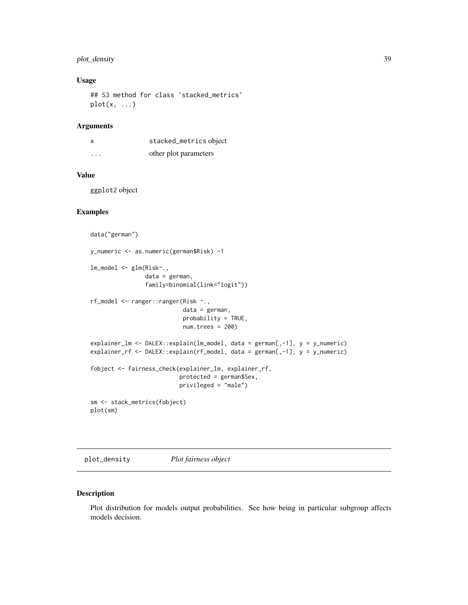## <span id="page-38-0"></span>plot\_density 39

## Usage

## S3 method for class 'stacked\_metrics'  $plot(x, \ldots)$ 

## Arguments

| X        | stacked_metrics object |
|----------|------------------------|
| $\cdots$ | other plot parameters  |

## Value

ggplot2 object

#### Examples

```
data("german")
y_numeric <- as.numeric(german$Risk) -1
lm_model <- glm(Risk~.,
                data = german,
                family=binomial(link="logit"))
rf_model <- ranger::ranger(Risk ~.,
                           data = german,
                           probability = TRUE,
                           num.trees = 200)
explainer_lm <- DALEX::explain(lm_model, data = german[,-1], y = y_numeric)
explainer_rf <- DALEX::explain(rf_model, data = german[,-1], y = y_numeric)
fobject <- fairness_check(explainer_lm, explainer_rf,
                          protected = german$Sex,
                          privileged = "male")
sm <- stack_metrics(fobject)
plot(sm)
```
plot\_density *Plot fairness object*

## Description

Plot distribution for models output probabilities. See how being in particular subgroup affects models decision.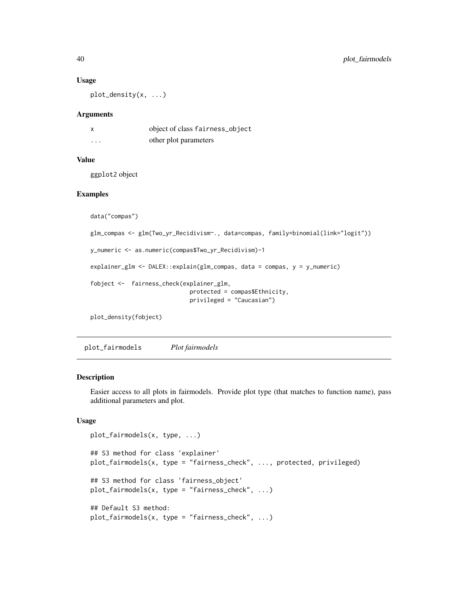#### Usage

plot\_density(x, ...)

#### Arguments

| X        | object of class fairness_object |
|----------|---------------------------------|
| $\cdots$ | other plot parameters           |

## Value

ggplot2 object

## Examples

```
data("compas")
glm_compas <- glm(Two_yr_Recidivism~., data=compas, family=binomial(link="logit"))
y_numeric <- as.numeric(compas$Two_yr_Recidivism)-1
explainer_glm <- DALEX::explain(glm_compas, data = compas, y = y_numeric)
fobject <- fairness_check(explainer_glm,
                             protected = compas$Ethnicity,
                             privileged = "Caucasian")
plot_density(fobject)
```
plot\_fairmodels *Plot fairmodels*

#### Description

Easier access to all plots in fairmodels. Provide plot type (that matches to function name), pass additional parameters and plot.

```
plot_fairmodels(x, type, ...)
## S3 method for class 'explainer'
plot_fairmodels(x, type = "fairness_check", ..., protected, privileged)
## S3 method for class 'fairness_object'
plot_fairmodels(x, type = "fairness_check", ...)## Default S3 method:
plot_fairmodels(x, type = "fairness_check", ...)
```
<span id="page-39-0"></span>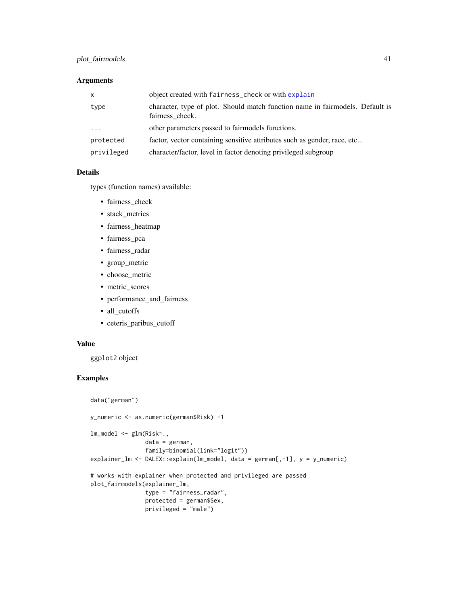## <span id="page-40-0"></span>plot\_fairmodels 41

## Arguments

| $\mathsf{X}$            | object created with fairness_check or with explain                                               |
|-------------------------|--------------------------------------------------------------------------------------------------|
| type                    | character, type of plot. Should match function name in fairmodels. Default is<br>fairness check. |
| $\cdot$ $\cdot$ $\cdot$ | other parameters passed to fairmodels functions.                                                 |
| protected               | factor, vector containing sensitive attributes such as gender, race, etc                         |
| privileged              | character/factor, level in factor denoting privileged subgroup                                   |

## Details

types (function names) available:

- fairness\_check
- stack\_metrics
- fairness\_heatmap
- fairness\_pca
- fairness\_radar
- group\_metric
- choose\_metric
- metric\_scores
- performance\_and\_fairness
- all\_cutoffs
- ceteris\_paribus\_cutoff

## Value

ggplot2 object

```
data("german")
y_numeric <- as.numeric(german$Risk) -1
lm_model <- glm(Risk~.,
                data = german,
                family=binomial(link="logit"))
explainer_lm <- DALEX::explain(lm_model, data = german[,-1], y = y_numeric)
# works with explainer when protected and privileged are passed
plot_fairmodels(explainer_lm,
                type = "fairness_radar",
                protected = german$Sex,
                privileged = "male")
```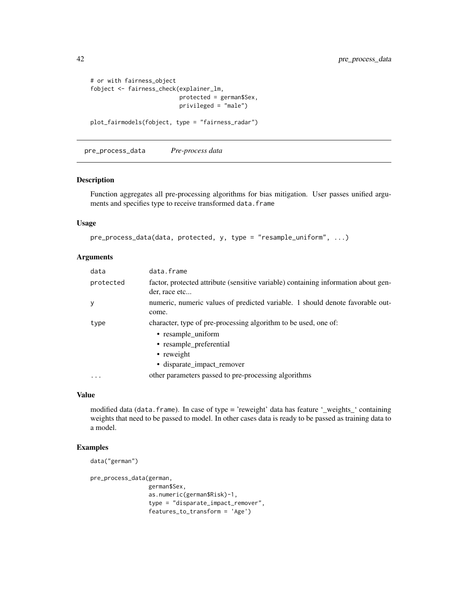```
# or with fairness_object
fobject <- fairness_check(explainer_lm,
                          protected = german$Sex,
                          privileged = "male")
plot_fairmodels(fobject, type = "fairness_radar")
```
pre\_process\_data *Pre-process data*

#### Description

Function aggregates all pre-processing algorithms for bias mitigation. User passes unified arguments and specifies type to receive transformed data.frame

#### Usage

```
pre_process_data(data, protected, y, type = "resample_uniform", ...)
```
## Arguments

| data      | data.frame                                                                                                                                                   |
|-----------|--------------------------------------------------------------------------------------------------------------------------------------------------------------|
| protected | factor, protected attribute (sensitive variable) containing information about gen-<br>der, race etc                                                          |
| у         | numeric, numeric values of predicted variable. 1 should denote favorable out-<br>come.                                                                       |
| type      | character, type of pre-processing algorithm to be used, one of:<br>• resample_uniform<br>• resample_preferential<br>• reweight<br>· disparate_impact_remover |
| $\cdots$  | other parameters passed to pre-processing algorithms                                                                                                         |

#### Value

modified data (data.frame). In case of type = 'reweight' data has feature '\_weights\_' containing weights that need to be passed to model. In other cases data is ready to be passed as training data to a model.

```
data("german")
```

```
pre_process_data(german,
                german$Sex,
                as.numeric(german$Risk)-1,
                 type = "disparate_impact_remover",
                 features_to_transform = 'Age')
```
<span id="page-41-0"></span>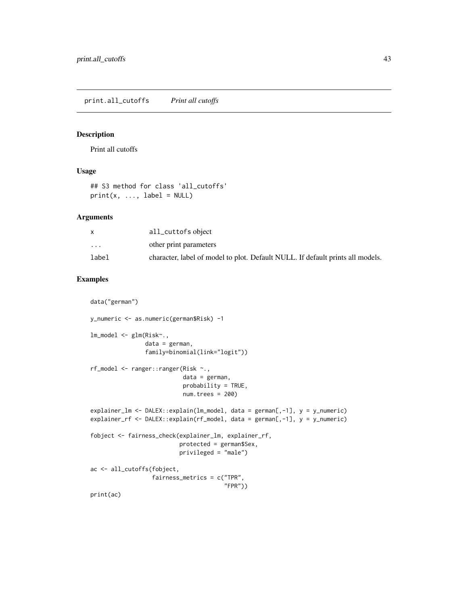<span id="page-42-0"></span>print.all\_cutoffs *Print all cutoffs*

## Description

Print all cutoffs

#### Usage

```
## S3 method for class 'all_cutoffs'
print(x, ..., label = NULL)
```
#### Arguments

|          | all_cuttofs object                                                             |
|----------|--------------------------------------------------------------------------------|
| $\cdots$ | other print parameters                                                         |
| label    | character, label of model to plot. Default NULL. If default prints all models. |

```
data("german")
y_numeric <- as.numeric(german$Risk) -1
lm_model <- glm(Risk~.,
                data = german,
                family=binomial(link="logit"))
rf_model <- ranger::ranger(Risk ~.,
                           data = german,
                           probability = TRUE,
                           num.trees = 200)
explainer_lm <- DALEX::explain(lm_model, data = german[,-1], y = y_numeric)
explainer_rf <- DALEX::explain(rf_model, data = german[,-1], y = y_numeric)
fobject <- fairness_check(explainer_lm, explainer_rf,
                          protected = german$Sex,
                          privileged = "male")
ac <- all_cutoffs(fobject,
                  fairness_metrics = c("TPR",
                                       "FPR"))
print(ac)
```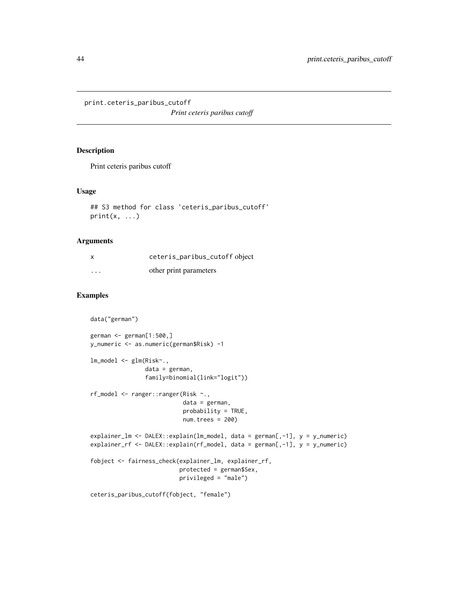<span id="page-43-0"></span>print.ceteris\_paribus\_cutoff

*Print ceteris paribus cutoff*

## Description

Print ceteris paribus cutoff

#### Usage

```
## S3 method for class 'ceteris_paribus_cutoff'
print(x, \ldots)
```
## Arguments

| X        | ceteris_paribus_cutoff object |
|----------|-------------------------------|
| $\cdots$ | other print parameters        |

```
data("german")
german <- german[1:500,]
y_numeric <- as.numeric(german$Risk) -1
lm_model <- glm(Risk~.,
                data = german,
                family=binomial(link="logit"))
rf_model <- ranger::ranger(Risk ~.,
                           data = german,
                           probability = TRUE,
                           num.trees = 200)
explainer_lm <- DALEX::explain(lm_model, data = german[,-1], y = y_numeric)
explainer_rf <- DALEX::explain(rf_model, data = german[,-1], y = y_numeric)
fobject <- fairness_check(explainer_lm, explainer_rf,
                          protected = german$Sex,
                          privileged = "male")
ceteris_paribus_cutoff(fobject, "female")
```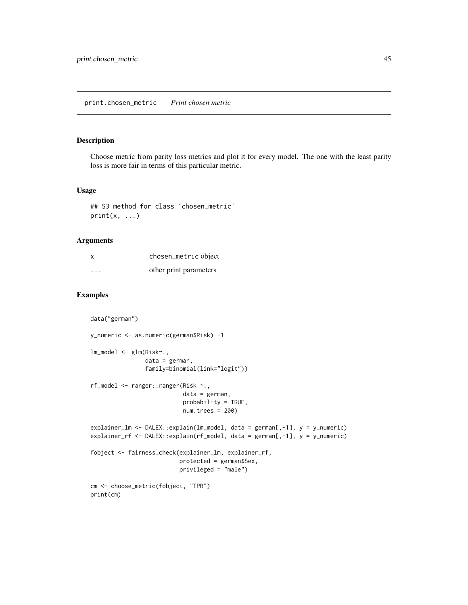## <span id="page-44-0"></span>Description

Choose metric from parity loss metrics and plot it for every model. The one with the least parity loss is more fair in terms of this particular metric.

## Usage

```
## S3 method for class 'chosen_metric'
print(x, \ldots)
```
## Arguments

| X        | chosen_metric object   |
|----------|------------------------|
| $\cdots$ | other print parameters |

```
data("german")
y_numeric <- as.numeric(german$Risk) -1
lm_model <- glm(Risk~.,
                data = german,
                family=binomial(link="logit"))
rf_model <- ranger::ranger(Risk ~.,
                           data = german,
                           probability = TRUE,
                           num.trees = 200)
explainer_lm <- DALEX::explain(lm_model, data = german[,-1], y = y_numeric)
explainer_rf <- DALEX::explain(rf_model, data = german[,-1], y = y_numeric)
fobject <- fairness_check(explainer_lm, explainer_rf,
                          protected = german$Sex,
                          privileged = "male")
cm <- choose_metric(fobject, "TPR")
print(cm)
```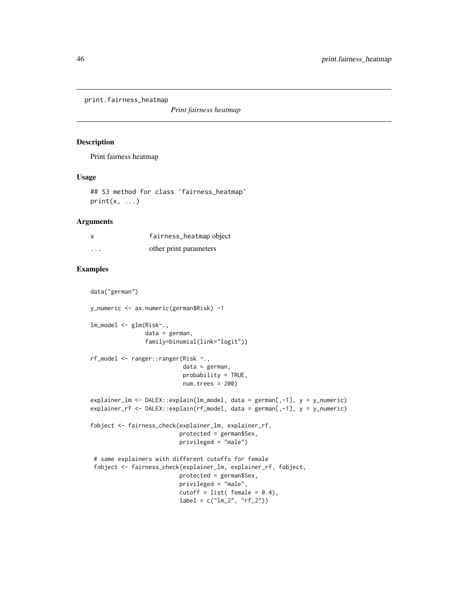<span id="page-45-0"></span>print.fairness\_heatmap

*Print fairness heatmap*

## Description

Print fairness heatmap

#### Usage

## S3 method for class 'fairness\_heatmap'  $print(x, \ldots)$ 

#### Arguments

|   | fairness_heatmap object |
|---|-------------------------|
| . | other print parameters  |

## Examples

data("german")

```
y_numeric <- as.numeric(german$Risk) -1
lm_model <- glm(Risk~.,
                data = german,
                family=binomial(link="logit"))
rf_model <- ranger::ranger(Risk ~.,
                           data = german,
                           probability = TRUE,
                           num.trees = 200)
explainer_lm <- DALEX::explain(lm_model, data = german[,-1], y = y_numeric)
explainer_rf <- DALEX::explain(rf_model, data = german[,-1], y = y_numeric)
fobject <- fairness_check(explainer_lm, explainer_rf,
                          protected = german$Sex,
                          privileged = "male")
 # same explainers with different cutoffs for female
 fobject <- fairness_check(explainer_lm, explainer_rf, fobject,
                          protected = german$Sex,
                          privileged = "male",
                          cutoff = list(female = 0.4),label = c("lm_2", "rf_2")
```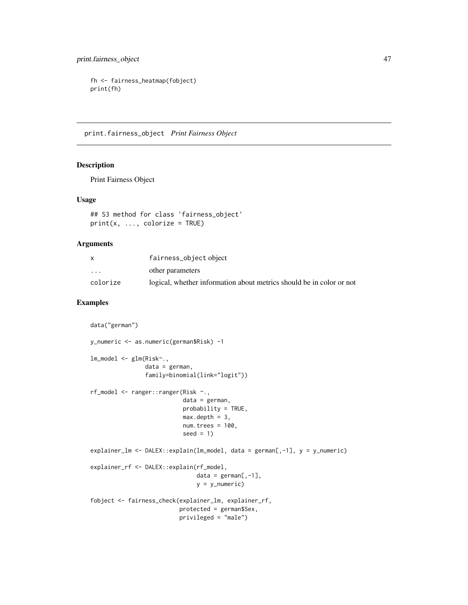```
fh <- fairness_heatmap(fobject)
print(fh)
```
print.fairness\_object *Print Fairness Object*

## Description

Print Fairness Object

#### Usage

```
## S3 method for class 'fairness_object'
print(x, ..., colorize = TRUE)
```
#### Arguments

|                         | fairness_object object                                               |
|-------------------------|----------------------------------------------------------------------|
| $\cdot$ $\cdot$ $\cdot$ | other parameters                                                     |
| colorize                | logical, whether information about metrics should be in color or not |

```
data("german")
y_numeric <- as.numeric(german$Risk) -1
lm_model <- glm(Risk~.,
                data = german,
                family=binomial(link="logit"))
rf_model <- ranger::ranger(Risk ~.,
                           data = german,
                           probability = TRUE,
                           max.depth = 3,
                           num.trees = 100,
                           seed = 1)
explainer_lm <- DALEX::explain(lm_model, data = german[,-1], y = y_numeric)
explainer_rf <- DALEX::explain(rf_model,
                               data = german[, -1],y = y_numeric)
fobject <- fairness_check(explainer_lm, explainer_rf,
                          protected = german$Sex,
                          privileged = "male")
```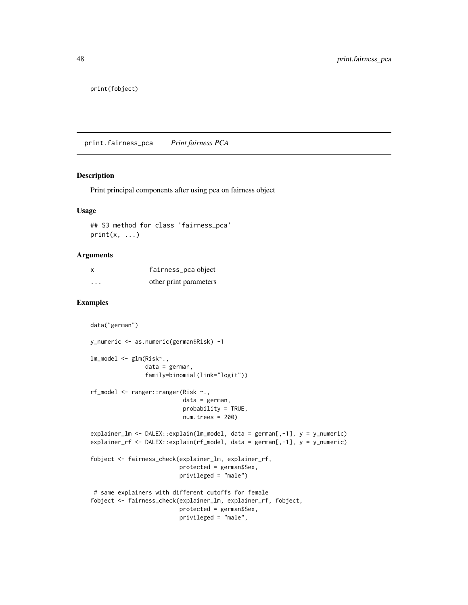<span id="page-47-0"></span>print(fobject)

print.fairness\_pca *Print fairness PCA*

#### Description

Print principal components after using pca on fairness object

## Usage

## S3 method for class 'fairness\_pca'  $print(x, \ldots)$ 

#### Arguments

| x        | fairness_pca object    |
|----------|------------------------|
| $\cdots$ | other print parameters |

```
data("german")
y_numeric <- as.numeric(german$Risk) -1
lm_model <- glm(Risk~.,
                data = german,
                family=binomial(link="logit"))
rf_model <- ranger::ranger(Risk ~.,
                           data = german,
                           probability = TRUE,
                           num.trees = 200)
explainer_lm <- DALEX::explain(lm_model, data = german[,-1], y = y_numeric)
explainer_rf <- DALEX::explain(rf_model, data = german[,-1], y = y_numeric)
fobject <- fairness_check(explainer_lm, explainer_rf,
                          protected = german$Sex,
                          privileged = "male")
 # same explainers with different cutoffs for female
fobject <- fairness_check(explainer_lm, explainer_rf, fobject,
                          protected = german$Sex,
                          privileged = "male",
```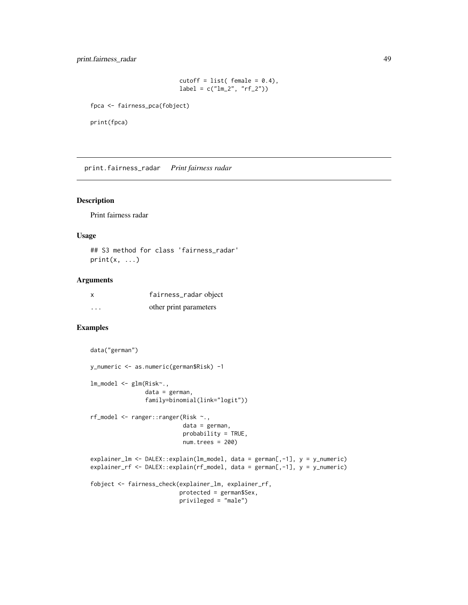## <span id="page-48-0"></span>print.fairness\_radar 49

```
cutoff = list(female = 0.4),label = c("lm_2", "rf_2")
```
fpca <- fairness\_pca(fobject)

print(fpca)

print.fairness\_radar *Print fairness radar*

## Description

Print fairness radar

#### Usage

## S3 method for class 'fairness\_radar'  $print(x, \ldots)$ 

#### Arguments

| X                 | fairness_radar object  |
|-------------------|------------------------|
| $\cdot\cdot\cdot$ | other print parameters |

```
data("german")
y_numeric <- as.numeric(german$Risk) -1
lm_model <- glm(Risk~.,
                data = german,
                family=binomial(link="logit"))
rf_model <- ranger::ranger(Risk ~.,
                           data = german,
                           probability = TRUE,
                           num.trees = 200)
explainer_lm <- DALEX::explain(lm_model, data = german[,-1], y = y_numeric)
explainer_rf <- DALEX::explain(rf_model, data = german[,-1], y = y_numeric)
fobject <- fairness_check(explainer_lm, explainer_rf,
                          protected = german$Sex,
                          privileged = "male")
```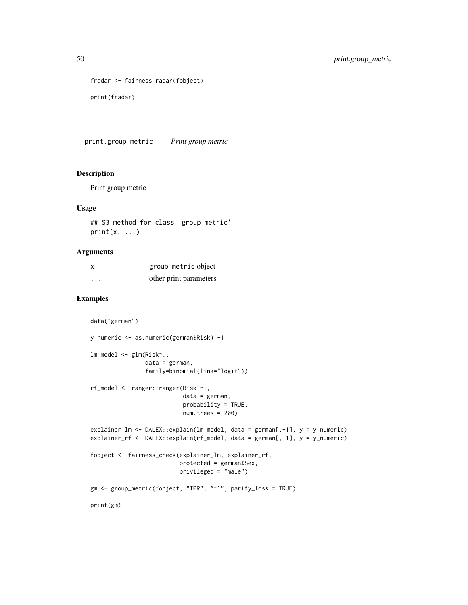```
fradar <- fairness_radar(fobject)
print(fradar)
```
print.group\_metric *Print group metric*

#### Description

Print group metric

#### Usage

```
## S3 method for class 'group_metric'
print(x, \ldots)
```
## Arguments

| X | group_metric object    |
|---|------------------------|
| . | other print parameters |

```
data("german")
y_numeric <- as.numeric(german$Risk) -1
lm_model <- glm(Risk~.,
                data = german,
                family=binomial(link="logit"))
rf_model <- ranger::ranger(Risk ~.,
                           data = german,
                           probability = TRUE,
                           num.trees = 200)
explainer_lm <- DALEX::explain(lm_model, data = german[,-1], y = y_numeric)
explainer_rf <- DALEX::explain(rf_model, data = german[,-1], y = y_numeric)
fobject <- fairness_check(explainer_lm, explainer_rf,
                          protected = german$Sex,
                          privileged = "male")
gm <- group_metric(fobject, "TPR", "f1", parity_loss = TRUE)
print(gm)
```
<span id="page-49-0"></span>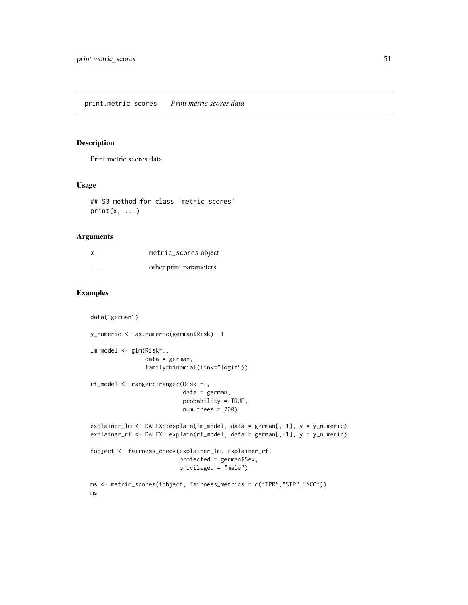## <span id="page-50-0"></span>Description

Print metric scores data

## Usage

```
## S3 method for class 'metric_scores'
print(x, \ldots)
```
## Arguments

| X        | metric_scores object   |
|----------|------------------------|
| $\cdots$ | other print parameters |

```
data("german")
y_numeric <- as.numeric(german$Risk) -1
lm_model <- glm(Risk~.,
                data = german,
                family=binomial(link="logit"))
rf_model <- ranger::ranger(Risk ~.,
                           data = german,
                           probability = TRUE,
                           num.trees = 200)explainer_lm <- DALEX::explain(lm_model, data = german[,-1], y = y_numeric)
explainer_rf <- DALEX::explain(rf_model, data = german[,-1], y = y_numeric)
fobject <- fairness_check(explainer_lm, explainer_rf,
                          protected = german$Sex,
                          privileged = "male")
ms <- metric_scores(fobject, fairness_metrics = c("TPR","STP","ACC"))
ms
```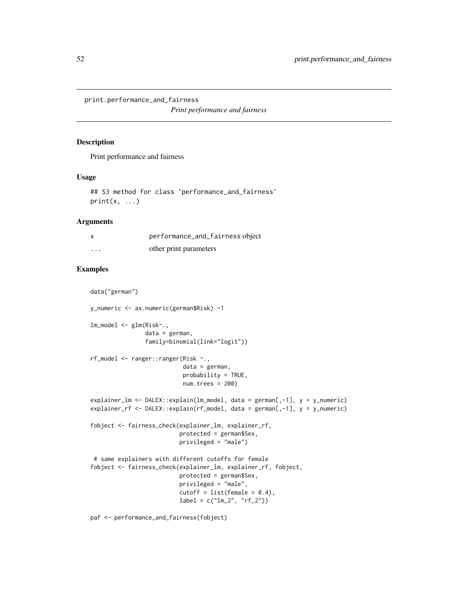<span id="page-51-0"></span>print.performance\_and\_fairness

*Print performance and fairness*

## Description

Print performance and fairness

#### Usage

## S3 method for class 'performance\_and\_fairness'  $print(x, \ldots)$ 

## Arguments

| X        | performance_and_fairness object |
|----------|---------------------------------|
| $\cdots$ | other print parameters          |

## Examples

data("german")

```
y_numeric <- as.numeric(german$Risk) -1
lm_model <- glm(Risk~.,
                data = german,
                family=binomial(link="logit"))
rf_model <- ranger::ranger(Risk ~.,
                           data = german,
                           probability = TRUE,
                           num.trees = 200)
explainer_lm <- DALEX::explain(lm_model, data = german[,-1], y = y_numeric)
explainer_rf <- DALEX::explain(rf_model, data = german[,-1], y = y_numeric)
fobject <- fairness_check(explainer_lm, explainer_rf,
                          protected = german$Sex,
                          privileged = "male")
 # same explainers with different cutoffs for female
fobject <- fairness_check(explainer_lm, explainer_rf, fobject,
                          protected = german$Sex,
                          privileged = "male",
                          cutoff = list(female = 0.4),label = c("lm_2", "rf_2")
```
paf <- performance\_and\_fairness(fobject)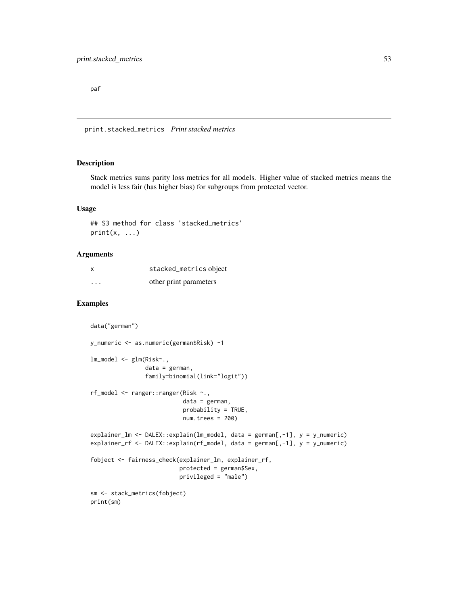<span id="page-52-0"></span>paf

print.stacked\_metrics *Print stacked metrics*

## Description

Stack metrics sums parity loss metrics for all models. Higher value of stacked metrics means the model is less fair (has higher bias) for subgroups from protected vector.

#### Usage

## S3 method for class 'stacked\_metrics'  $print(x, \ldots)$ 

#### Arguments

| X        | stacked_metrics object |
|----------|------------------------|
| $\cdots$ | other print parameters |

```
data("german")
y_numeric <- as.numeric(german$Risk) -1
lm_model <- glm(Risk~.,
                data = german,
                family=binomial(link="logit"))
rf_model <- ranger::ranger(Risk ~.,
                           data = german,
                           probability = TRUE,
                           num.trees = 200)
explainer_lm <- DALEX::explain(lm_model, data = german[,-1], y = y_numeric)
explainer_rf <- DALEX::explain(rf_model, data = german[,-1], y = y_numeric)
fobject <- fairness_check(explainer_lm, explainer_rf,
                          protected = german$Sex,
                          privileged = "male")
sm <- stack_metrics(fobject)
print(sm)
```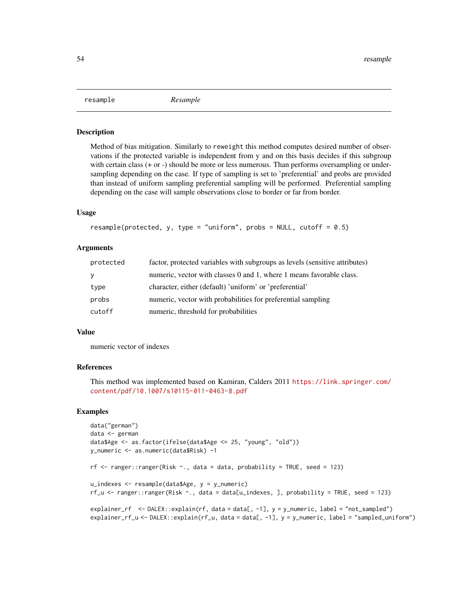<span id="page-53-0"></span>resample *Resample*

#### **Description**

Method of bias mitigation. Similarly to reweight this method computes desired number of observations if the protected variable is independent from y and on this basis decides if this subgroup with certain class  $(+ or -)$  should be more or less numerous. Than performs oversampling or undersampling depending on the case. If type of sampling is set to 'preferential' and probs are provided than instead of uniform sampling preferential sampling will be performed. Preferential sampling depending on the case will sample observations close to border or far from border.

#### Usage

```
resample(protected, y, type = "uniform", probs = NULL, cutoff = 0.5)
```
#### Arguments

| protected | factor, protected variables with subgroups as levels (sensitive attributes) |
|-----------|-----------------------------------------------------------------------------|
| У         | numeric, vector with classes 0 and 1, where 1 means favorable class.        |
| type      | character, either (default) 'uniform' or 'preferential'                     |
| probs     | numeric, vector with probabilities for preferential sampling                |
| cutoff    | numeric, threshold for probabilities                                        |

#### Value

numeric vector of indexes

#### References

This method was implemented based on Kamiran, Calders 2011 [https://link.springer.com/](https://link.springer.com/content/pdf/10.1007/s10115-011-0463-8.pdf) [content/pdf/10.1007/s10115-011-0463-8.pdf](https://link.springer.com/content/pdf/10.1007/s10115-011-0463-8.pdf)

```
data("german")
data <- german
data$Age <- as.factor(ifelse(data$Age <= 25, "young", "old"))
y_numeric <- as.numeric(data$Risk) -1
rf \leq ranger::ranger(Risk \sim., data = data, probability = TRUE, seed = 123)
u_indexes <- resample(data$Age, y = y_numeric)
rf_u <- ranger::ranger(Risk ~., data = data[u_indexes, ], probability = TRUE, seed = 123)
explainer_rf <- DALEX::explain(rf, data = data[, -1], y = y_numeric, label = "not_sampled")
explainer_rf_u <- DALEX::explain(rf_u, data = data[, -1], y = y_numeric, label = "sampled_uniform")
```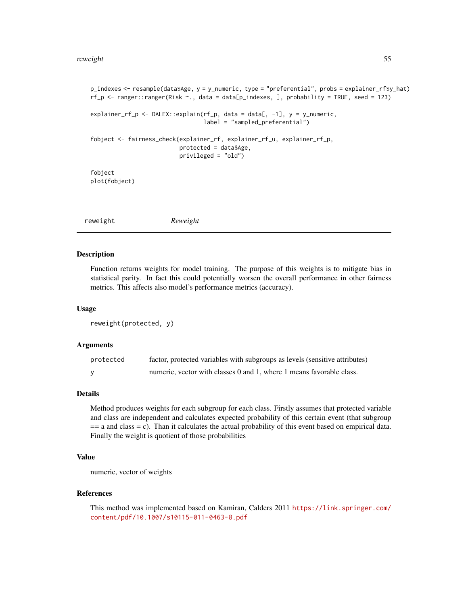```
p_indexes <- resample(data$Age, y = y_numeric, type = "preferential", probs = explainer_rf$y_hat)
rf_p \leftarrow range:range(Risk \sim ., data = data[p_indexes, ], probability = TRUE, seed = 123)
explainer_rf_p <- DALEX::explain(rf_p, data = data[, -1], y = y_numeric,
                                  label = "sampled_preferential")
fobject <- fairness_check(explainer_rf, explainer_rf_u, explainer_rf_p,
                          protected = data$Age,
                          privileged = "old")
fobject
plot(fobject)
```

| Reweight<br>reweight |
|----------------------|
|----------------------|

#### Description

Function returns weights for model training. The purpose of this weights is to mitigate bias in statistical parity. In fact this could potentially worsen the overall performance in other fairness metrics. This affects also model's performance metrics (accuracy).

#### Usage

```
reweight(protected, y)
```
#### Arguments

| protected | factor, protected variables with subgroups as levels (sensitive attributes) |
|-----------|-----------------------------------------------------------------------------|
|           | numeric, vector with classes 0 and 1, where 1 means favorable class.        |

#### Details

Method produces weights for each subgroup for each class. Firstly assumes that protected variable and class are independent and calculates expected probability of this certain event (that subgroup  $==$  a and class  $= c$ ). Than it calculates the actual probability of this event based on empirical data. Finally the weight is quotient of those probabilities

## Value

numeric, vector of weights

#### References

This method was implemented based on Kamiran, Calders 2011 [https://link.springer.com/](https://link.springer.com/content/pdf/10.1007/s10115-011-0463-8.pdf) [content/pdf/10.1007/s10115-011-0463-8.pdf](https://link.springer.com/content/pdf/10.1007/s10115-011-0463-8.pdf)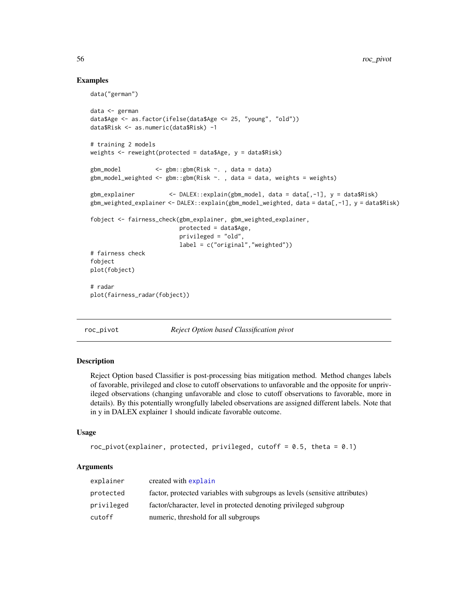## Examples

data("german")

```
data <- german
data$Age <- as.factor(ifelse(data$Age <= 25, "young", "old"))
data$Risk <- as.numeric(data$Risk) -1
# training 2 models
weights \leq reweight(protected = data$Age, y = data$Risk)
gbm_model <- gbm::gbm(Risk ~. , data = data)
gbm_model_weighted <- gbm::gbm(Risk ~. , data = data, weights = weights)
gbm_explainer <- DALEX::explain(gbm_model, data = data[,-1], y = data$Risk)
gbm_weighted_explainer <- DALEX::explain(gbm_model_weighted, data = data[,-1], y = data$Risk)
fobject <- fairness_check(gbm_explainer, gbm_weighted_explainer,
                         protected = data$Age,
                         privileged = "old",
                         label = c("original","weighted"))
# fairness check
fobject
plot(fobject)
# radar
plot(fairness_radar(fobject))
```
roc\_pivot *Reject Option based Classification pivot*

## Description

Reject Option based Classifier is post-processing bias mitigation method. Method changes labels of favorable, privileged and close to cutoff observations to unfavorable and the opposite for unprivileged observations (changing unfavorable and close to cutoff observations to favorable, more in details). By this potentially wrongfully labeled observations are assigned different labels. Note that in y in DALEX explainer 1 should indicate favorable outcome.

#### Usage

```
roc\_pivot(explainer, protected, privileged, cutoff = 0.5, theta = 0.1)
```
## Arguments

| explainer  | created with explain                                                        |
|------------|-----------------------------------------------------------------------------|
| protected  | factor, protected variables with subgroups as levels (sensitive attributes) |
| privileged | factor/character, level in protected denoting privileged subgroup           |
| cutoff     | numeric, threshold for all subgroups                                        |

<span id="page-55-0"></span>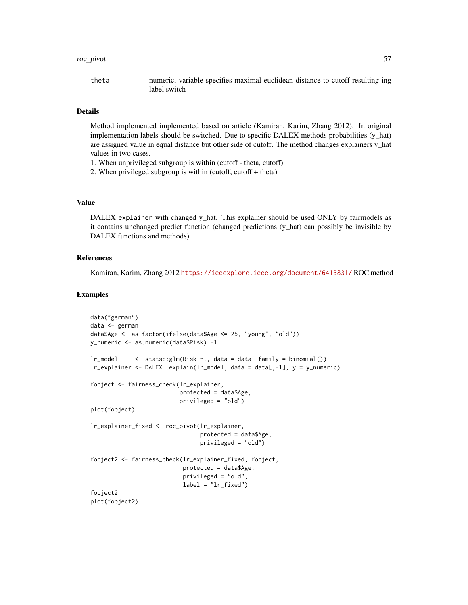#### roc\_pivot 57

theta numeric, variable specifies maximal euclidean distance to cutoff resulting ing label switch

#### Details

Method implemented implemented based on article (Kamiran, Karim, Zhang 2012). In original implementation labels should be switched. Due to specific DALEX methods probabilities (y\_hat) are assigned value in equal distance but other side of cutoff. The method changes explainers y\_hat values in two cases.

- 1. When unprivileged subgroup is within (cutoff theta, cutoff)
- 2. When privileged subgroup is within (cutoff, cutoff + theta)

## Value

DALEX explainer with changed y\_hat. This explainer should be used ONLY by fairmodels as it contains unchanged predict function (changed predictions (y\_hat) can possibly be invisible by DALEX functions and methods).

#### References

Kamiran, Karim, Zhang 2012 <https://ieeexplore.ieee.org/document/6413831/> ROC method

```
data("german")
data <- german
data$Age <- as.factor(ifelse(data$Age <= 25, "young", "old"))
y_numeric <- as.numeric(data$Risk) -1
lr_model <- stats::glm(Risk ~., data = data, family = binomial())
lr_explainer <- DALEX::explain(lr_model, data = data[,-1], y = y_numeric)
fobject <- fairness_check(lr_explainer,
                          protected = data$Age,
                          privileged = "old")
plot(fobject)
lr_explainer_fixed <- roc_pivot(lr_explainer,
                                protected = data$Age,
                                privileged = "old")
fobject2 <- fairness_check(lr_explainer_fixed, fobject,
                           protected = data$Age,
                           privileged = "old",
                           label = "lr_fixed")fobject2
plot(fobject2)
```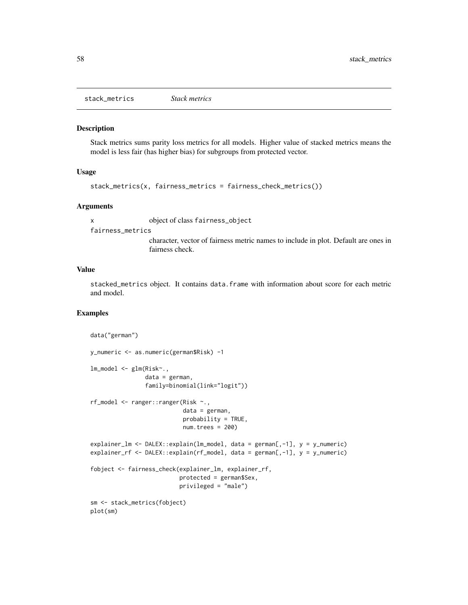<span id="page-57-0"></span>stack\_metrics *Stack metrics*

#### Description

Stack metrics sums parity loss metrics for all models. Higher value of stacked metrics means the model is less fair (has higher bias) for subgroups from protected vector.

## Usage

```
stack_metrics(x, fairness_metrics = fairness_check_metrics())
```
## Arguments

x object of class fairness\_object

fairness\_metrics

character, vector of fairness metric names to include in plot. Default are ones in fairness check.

#### Value

stacked\_metrics object. It contains data.frame with information about score for each metric and model.

```
data("german")
y_numeric <- as.numeric(german$Risk) -1
lm_model <- glm(Risk~.,
                data = german,
                family=binomial(link="logit"))
rf_model <- ranger::ranger(Risk ~.,
                           data = german,
                           probability = TRUE,
                           num.trees = 200)
explainer_lm <- DALEX::explain(lm_model, data = german[,-1], y = y_numeric)
explainer_rf <- DALEX::explain(rf_model, data = german[,-1], y = y_numeric)
fobject <- fairness_check(explainer_lm, explainer_rf,
                          protected = german$Sex,
                          privileged = "male")
sm <- stack_metrics(fobject)
plot(sm)
```